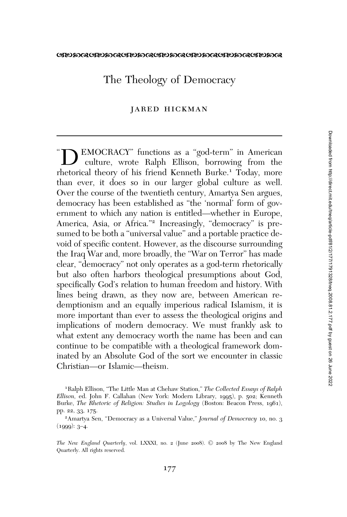#### <u>RNNARNNARNNARNNARNNARNNARNARNNA</u>

# The Theology of Democracy

#### jared hickman

 $\ddot{\phantom{0}}$ DEMOCRACY" functions as a "god-term" in American<br>culture, wrote Ralph Ellison, borrowing from the rhetorical theory of his friend Kenneth Burke.<sup>1</sup> Today, more than ever, it does so in our larger global culture as well. Over the course of the twentieth century, Amartya Sen argues, democracy has been established as "the 'normal' form of government to which any nation is entitled—whether in Europe, America, Asia, or Africa."<sup>2</sup> Increasingly, "democracy" is presumed to be both a "universal value" and a portable practice devoid of specific content. However, as the discourse surrounding the Iraq War and, more broadly, the "War on Terror" has made clear, "democracy" not only operates as a god-term rhetorically but also often harbors theological presumptions about God, specifically God's relation to human freedom and history. With lines being drawn, as they now are, between American redemptionism and an equally imperious radical Islamism, it is more important than ever to assess the theological origins and implications of modern democracy. We must frankly ask to what extent any democracy worth the name has been and can continue to be compatible with a theological framework dominated by an Absolute God of the sort we encounter in classic Christian—or Islamic—theism.

<sup>1</sup>Ralph Ellison, "The Little Man at Chehaw Station," *The Collected Essays of Ralph Ellison,* ed. John F. Callahan (New York: Modern Library, 1995), p. 502; Kenneth Burke, *The Rhetoric of Religion: Studies in Logology* (Boston: Beacon Press, 1961), pp. 22, 33, 175.

<sup>2</sup>Amartya Sen, "Democracy as a Universal Value," *Journal of Democracy* 10, no. 3  $(1999): 3-4.$ 

*The New England Quarterly*, vol. LXXXI, no. 2 (June 2008). <sup>C</sup> 2008 by The New England Quarterly. All rights reserved.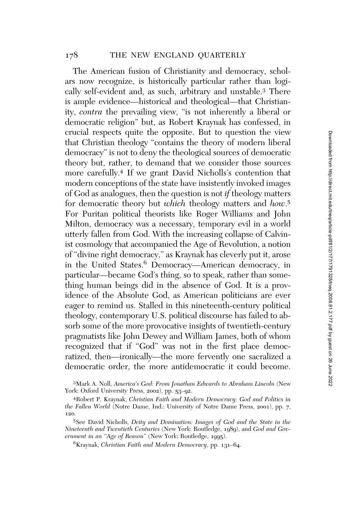The American fusion of Christianity and democracy, scholars now recognize, is historically particular rather than logically self-evident and, as such, arbitrary and unstable.<sup>3</sup> There is ample evidence—historical and theological—that Christianity, *contra* the prevailing view, "is not inherently a liberal or democratic religion" but, as Robert Kraynak has confessed, in crucial respects quite the opposite. But to question the view that Christian theology "contains the theory of modern liberal democracy" is not to deny the theological sources of democratic theory but, rather, to demand that we consider those sources more carefully.<sup>4</sup> If we grant David Nicholls's contention that modern conceptions of the state have insistently invoked images of God as analogues, then the question is not *if* theology matters for democratic theory but *which* theology matters and *how*. 5 For Puritan political theorists like Roger Williams and John Milton, democracy was a necessary, temporary evil in a world utterly fallen from God. With the increasing collapse of Calvinist cosmology that accompanied the Age of Revolution, a notion of "divine right democracy," as Kraynak has cleverly put it, arose in the United States.<sup>6</sup> Democracy—American democracy, in particular—became God's thing, so to speak, rather than something human beings did in the absence of God. It is a providence of the Absolute God, as American politicians are ever eager to remind us. Stalled in this nineteenth-century political theology, contemporary U.S. political discourse has failed to absorb some of the more provocative insights of twentieth-century pragmatists like John Dewey and William James, both of whom recognized that if "God" was not in the first place democratized, then—ironically—the more fervently one sacralized a democratic order, the more antidemocratic it could become.

<sup>3</sup>Mark A. Noll, *America's God: From Jonathan Edwards to Abraham Lincoln* (New York: Oxford University Press, 2002), pp. 53–92.

<sup>4</sup>Robert P. Kraynak, *Christian Faith and Modern Democracy: God and Politics in the Fallen World* (Notre Dame, Ind.: University of Notre Dame Press, 2001), pp. 7, 120*.*

<sup>5</sup>See David Nicholls, *Deity and Domination: Images of God and the State in the Nineteenth and Twentieth Centuries* (New York: Routledge, 1989), and *God and Government in an "Age of Reason"* (New York: Routledge, 1995).

<sup>6</sup>Kraynak, *Christian Faith and Modern Democracy,* pp. 131–64.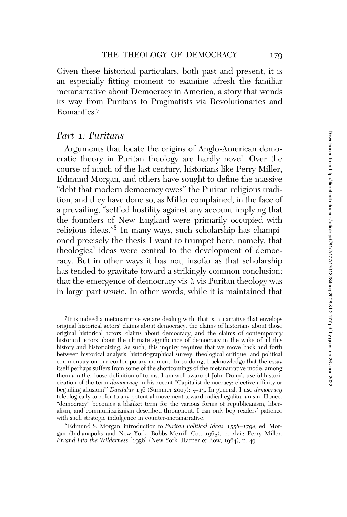Given these historical particulars, both past and present, it is an especially fitting moment to examine afresh the familiar metanarrative about Democracy in America, a story that wends its way from Puritans to Pragmatists via Revolutionaries and Romantics.<sup>7</sup>

### *Part 1: Puritans*

Arguments that locate the origins of Anglo-American democratic theory in Puritan theology are hardly novel. Over the course of much of the last century, historians like Perry Miller, Edmund Morgan, and others have sought to define the massive "debt that modern democracy owes" the Puritan religious tradition, and they have done so, as Miller complained, in the face of a prevailing, "settled hostility against any account implying that the founders of New England were primarily occupied with religious ideas."<sup>8</sup> In many ways, such scholarship has championed precisely the thesis I want to trumpet here, namely, that theological ideas were central to the development of democracy. But in other ways it has not, insofar as that scholarship has tended to gravitate toward a strikingly common conclusion: that the emergence of democracy vis-a-vis Puritan theology was ` in large part *ironic*. In other words, while it is maintained that

<sup>8</sup>Edmund S. Morgan, introduction to *Puritan Political Ideas, 1558–1794,* ed. Morgan (Indianapolis and New York: Bobbs-Merrill Co., 1965), p. xlvii; Perry Miller, *Errand into the Wilderness* [1956] (New York: Harper & Row, 1964), p. 49.

<sup>7</sup>It is indeed a metanarrative we are dealing with, that is, a narrative that envelops original historical actors' claims about democracy, the claims of historians about those original historical actors' claims about democracy, and the claims of contemporary historical actors about the ultimate significance of democracy in the wake of all this history and historicizing. As such, this inquiry requires that we move back and forth between historical analysis, historiographical survey, theological critique, and political commentary on our contemporary moment. In so doing, I acknowledge that the essay itself perhaps suffers from some of the shortcomings of the metanarrative mode, among them a rather loose definition of terms. I am well aware of John Dunn's useful historicization of the term *democracy* in his recent "Capitalist democracy: elective affinity or beguiling allusion?" *Daedalus* 136 (Summer 2007): 5–13. In general, I use *democracy* teleologically to refer to any potential movement toward radical egalitarianism. Hence, "democracy" becomes a blanket term for the various forms of republicanism, liberalism, and communitarianism described throughout. I can only beg readers' patience with such strategic indulgence in counter-metanarrative.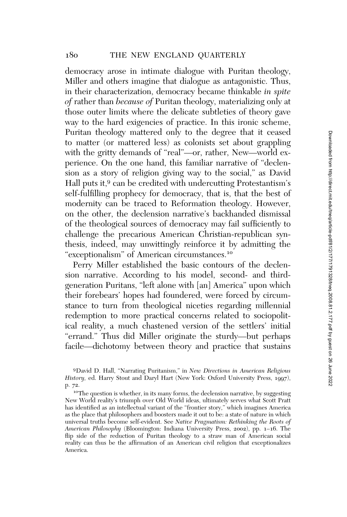democracy arose in intimate dialogue with Puritan theology, Miller and others imagine that dialogue as antagonistic. Thus, in their characterization, democracy became thinkable *in spite of* rather than *because of* Puritan theology, materializing only at those outer limits where the delicate subtleties of theory gave way to the hard exigencies of practice. In this ironic scheme, Puritan theology mattered only to the degree that it ceased to matter (or mattered less) as colonists set about grappling with the gritty demands of "real"—or, rather, New—world experience. On the one hand, this familiar narrative of "declension as a story of religion giving way to the social," as David Hall puts it,<sup>9</sup> can be credited with undercutting Protestantism's self-fulfilling prophecy for democracy, that is, that the best of modernity can be traced to Reformation theology. However, on the other, the declension narrative's backhanded dismissal of the theological sources of democracy may fail sufficiently to challenge the precarious American Christian-republican synthesis, indeed, may unwittingly reinforce it by admitting the "exceptionalism" of American circumstances.<sup>10</sup>

Perry Miller established the basic contours of the declension narrative. According to his model, second- and thirdgeneration Puritans, "left alone with [an] America" upon which their forebears' hopes had foundered, were forced by circumstance to turn from theological niceties regarding millennial redemption to more practical concerns related to sociopolitical reality, a much chastened version of the settlers' initial "errand." Thus did Miller originate the sturdy—but perhaps facile—dichotomy between theory and practice that sustains

<sup>9</sup>David D. Hall, "Narrating Puritanism," in *New Directions in American Religious History,* ed. Harry Stout and Daryl Hart (New York: Oxford University Press, 1997), p. 72.

<sup>&</sup>lt;sup>10</sup>The question is whether, in its many forms, the declension narrative, by suggesting New World reality's triumph over Old World ideas, ultimately serves what Scott Pratt has identified as an intellectual variant of the "frontier story," which imagines America as the place that philosophers and boosters made it out to be: a state of nature in which universal truths become self-evident. See *Native Pragmatism: Rethinking the Roots of American Philosophy* (Bloomington: Indiana University Press, 2002), pp. 1–16. The flip side of the reduction of Puritan theology to a straw man of American social reality can thus be the affirmation of an American civil religion that exceptionalizes America.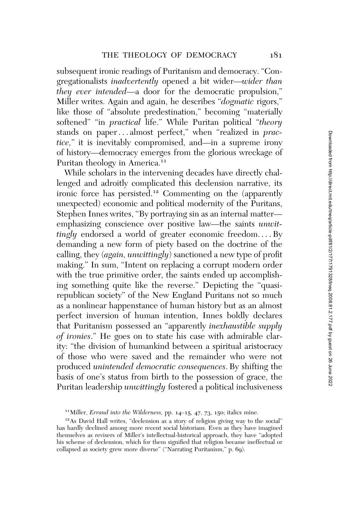subsequent ironic readings of Puritanism and democracy. "Congregationalists *inadvertently* opened a bit wider—*wider than they ever intended*—a door for the democratic propulsion," Miller writes. Again and again, he describes "*dogmatic* rigors," like those of "absolute predestination," becoming "materially softened" "in *practical* life." While Puritan political "*theory* stands on paper... almost perfect," when "realized in *practice,*" it is inevitably compromised, and—in a supreme irony of history—democracy emerges from the glorious wreckage of Puritan theology in America.<sup>11</sup>

While scholars in the intervening decades have directly challenged and adroitly complicated this declension narrative, its ironic force has persisted.<sup>12</sup> Commenting on the (apparently unexpected) economic and political modernity of the Puritans, Stephen Innes writes, "By portraying sin as an internal matter emphasizing conscience over positive law—the saints *unwittingly* endorsed a world of greater economic freedom. ...By demanding a new form of piety based on the doctrine of the calling, they (*again, unwittingly*) sanctioned a new type of profit making." In sum, "Intent on replacing a corrupt modern order with the true primitive order, the saints ended up accomplishing something quite like the reverse." Depicting the "quasirepublican society" of the New England Puritans not so much as a nonlinear happenstance of human history but as an almost perfect inversion of human intention, Innes boldly declares that Puritanism possessed an "apparently *inexhaustible supply of ironies*." He goes on to state his case with admirable clarity: "the division of humankind between a spiritual aristocracy of those who were saved and the remainder who were not produced *unintended democratic consequences*. By shifting the basis of one's status from birth to the possession of grace, the Puritan leadership *unwittingly* fostered a political inclusiveness

<sup>11</sup>Miller, *Errand into the Wilderness,* pp. 14–15, 47, 73, 150; italics mine.

<sup>12</sup>As David Hall writes, "declension as a story of religion giving way to the social" has hardly declined among more recent social historians. Even as they have imagined themselves as revisers of Miller's intellectual-historical approach, they have "adopted his scheme of declension, which for them signified that religion became ineffectual or collapsed as society grew more diverse" ("Narrating Puritanism," p. 69).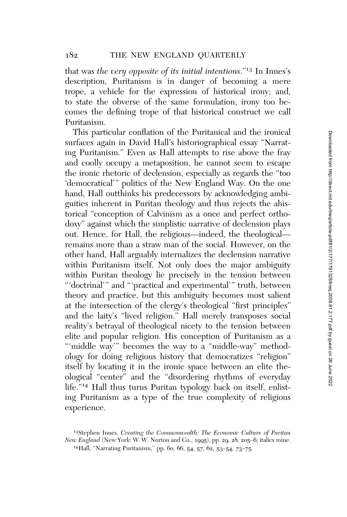that was *the very opposite of its initial intentions*."<sup>13</sup> In Innes's description, Puritanism is in danger of becoming a mere trope, a vehicle for the expression of historical irony; and, to state the obverse of the same formulation, irony too becomes the defining trope of that historical construct we call Puritanism.

This particular conflation of the Puritanical and the ironical surfaces again in David Hall's historiographical essay "Narrating Puritanism." Even as Hall attempts to rise above the fray and coolly occupy a metaposition, he cannot seem to escape the ironic rhetoric of declension, especially as regards the "too 'democratical'" politics of the New England Way. On the one hand, Hall outthinks his predecessors by acknowledging ambiguities inherent in Puritan theology and thus rejects the ahistorical "conception of Calvinism as a once and perfect orthodoxy" against which the simplistic narrative of declension plays out. Hence, for Hall, the religious—indeed, the theological remains more than a straw man of the social. However, on the other hand, Hall arguably internalizes the declension narrative within Puritanism itself. Not only does the major ambiguity within Puritan theology lie precisely in the tension between "'doctrinal'" and "'practical and experimental'" truth, between theory and practice, but this ambiguity becomes most salient at the intersection of the clergy's theological "first principles" and the laity's "lived religion." Hall merely transposes social reality's betrayal of theological nicety to the tension between elite and popular religion. His conception of Puritanism as a "'middle way'" becomes the way to a "middle-way" methodology for doing religious history that democratizes "religion" itself by locating it in the ironic space between an elite theological "center" and the "disordering rhythms of everyday life."<sup>14</sup> Hall thus turns Puritan typology back on itself, enlisting Puritanism as a type of the true complexity of religious experience.

<sup>13</sup>Stephen Innes, *Creating the Commonwealth: The Economic Culture of Puritan New England* (New York: W. W. Norton and Co., 1995), pp. 29, 28, 205–6; italics mine.

<sup>14</sup>Hall, "Narrating Puritanism," pp. 60, 66, 54, 57, 62, 53–54, 73–75.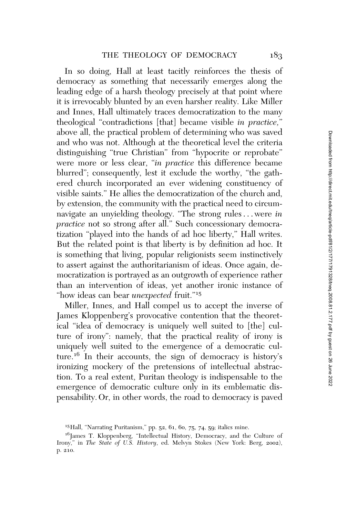In so doing, Hall at least tacitly reinforces the thesis of democracy as something that necessarily emerges along the leading edge of a harsh theology precisely at that point where it is irrevocably blunted by an even harsher reality. Like Miller and Innes, Hall ultimately traces democratization to the many theological "contradictions [that] became visible *in practice,*" above all, the practical problem of determining who was saved and who was not. Although at the theoretical level the criteria distinguishing "true Christian" from "hypocrite or reprobate" were more or less clear, "*in practice* this difference became blurred"; consequently, lest it exclude the worthy, "the gathered church incorporated an ever widening constituency of visible saints." He allies the democratization of the church and, by extension, the community with the practical need to circumnavigate an unyielding theology. "The strong rules...were *in practice* not so strong after all." Such concessionary democratization "played into the hands of ad hoc liberty," Hall writes. But the related point is that liberty is by definition ad hoc. It is something that living, popular religionists seem instinctively to assert against the authoritarianism of ideas. Once again, democratization is portrayed as an outgrowth of experience rather than an intervention of ideas, yet another ironic instance of "how ideas can bear *unexpected* fruit."<sup>15</sup>

Miller, Innes, and Hall compel us to accept the inverse of James Kloppenberg's provocative contention that the theoretical "idea of democracy is uniquely well suited to [the] culture of irony": namely, that the practical reality of irony is uniquely well suited to the emergence of a democratic culture.<sup>16</sup> In their accounts, the sign of democracy is history's ironizing mockery of the pretensions of intellectual abstraction. To a real extent, Puritan theology is indispensable to the emergence of democratic culture only in its emblematic dispensability. Or, in other words, the road to democracy is paved

<sup>15</sup>Hall, "Narrating Puritanism," pp. 52, 61, 60, 75, 74, 59; italics mine.

<sup>&</sup>lt;sup>16</sup>James T. Kloppenberg, "Intellectual History, Democracy, and the Culture of Irony," in *The State of U.S. History*, ed. Melvyn Stokes (New York: Berg, 2002), p. 210.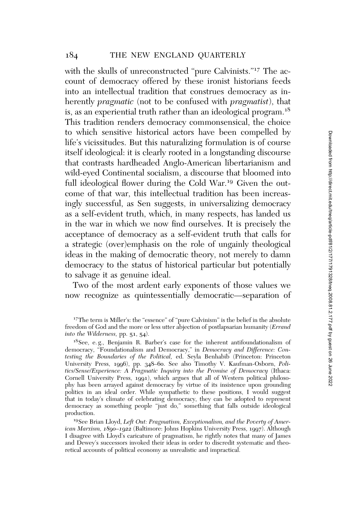with the skulls of unreconstructed "pure Calvinists."<sup>17</sup> The account of democracy offered by these ironist historians feeds into an intellectual tradition that construes democracy as inherently *pragmatic* (not to be confused with *pragmatist*), that is, as an experiential truth rather than an ideological program.<sup>18</sup> This tradition renders democracy commonsensical, the choice to which sensitive historical actors have been compelled by life's vicissitudes. But this naturalizing formulation is of course itself ideological: it is clearly rooted in a longstanding discourse that contrasts hardheaded Anglo-American libertarianism and wild-eyed Continental socialism, a discourse that bloomed into full ideological flower during the Cold War.<sup>19</sup> Given the outcome of that war, this intellectual tradition has been increasingly successful, as Sen suggests, in universalizing democracy as a self-evident truth, which, in many respects, has landed us in the war in which we now find ourselves. It is precisely the acceptance of democracy as a self-evident truth that calls for a strategic (over)emphasis on the role of ungainly theological ideas in the making of democratic theory, not merely to damn democracy to the status of historical particular but potentially to salvage it as genuine ideal.

Two of the most ardent early exponents of those values we now recognize as quintessentially democratic—separation of

<sup>&</sup>lt;sup>17</sup>The term is Miller's: the "essence" of "pure Calvinism" is the belief in the absolute freedom of God and the more or less utter abjection of postlapsarian humanity (*Errand into the Wilderness,* pp. 51, 54).

<sup>18</sup>See, e. g., Benjamin R. Barber's case for the inherent antifoundationalism of democracy, "Foundationalism and Democracy," in *Democracy and Difference: Contesting the Boundaries of the Political,* ed. Seyla Benhabib (Princeton: Princeton University Press, 1996), pp. 348–60. See also Timothy V. Kaufman-Osborn, *Politics/Sense/Experience: A Pragmatic Inquiry into the Promise of Democracy* (Ithaca: Cornell University Press, 1991), which argues that all of Western political philosophy has been arrayed against democracy by virtue of its insistence upon grounding politics in an ideal order. While sympathetic to these positions, I would suggest that in today's climate of celebrating democracy, they can be adopted to represent democracy as something people "just do," something that falls outside ideological production.

<sup>19</sup>See Brian Lloyd, *Left Out: Pragmatism, Exceptionalism, and the Poverty of American Marxism, 1890–1922* (Baltimore: Johns Hopkins University Press, 1997). Although I disagree with Lloyd's caricature of pragmatism, he rightly notes that many of James and Dewey's successors invoked their ideas in order to discredit systematic and theoretical accounts of political economy as unrealistic and impractical.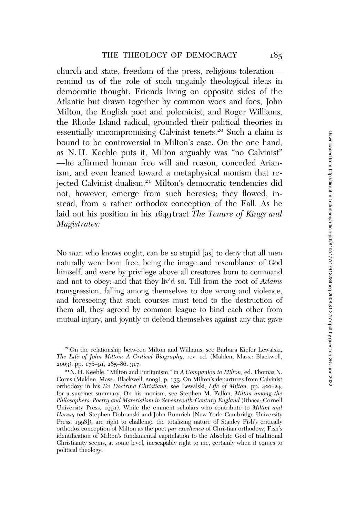church and state, freedom of the press, religious toleration remind us of the role of such ungainly theological ideas in democratic thought. Friends living on opposite sides of the Atlantic but drawn together by common woes and foes, John Milton, the English poet and polemicist, and Roger Williams, the Rhode Island radical, grounded their political theories in essentially uncompromising Calvinist tenets.<sup>20</sup> Such a claim is bound to be controversial in Milton's case. On the one hand, as N. H. Keeble puts it, Milton arguably was "no Calvinist" —he affirmed human free will and reason, conceded Arianism, and even leaned toward a metaphysical monism that rejected Calvinist dualism.<sup>21</sup> Milton's democratic tendencies did not, however, emerge from such heresies; they flowed, instead, from a rather orthodox conception of the Fall. As he laid out his position in his 1649 tract *The Tenure of Kings and Magistrates:*

No man who knows ought, can be so stupid [as] to deny that all men naturally were born free, being the image and resemblance of God himself, and were by privilege above all creatures born to command and not to obey: and that they liv'd so. Till from the root of *Adams* transgression, falling among themselves to doe wrong and violence, and foreseeing that such courses must tend to the destruction of them all, they agreed by common league to bind each other from mutual injury, and joyntly to defend themselves against any that gave

<sup>20</sup>On the relationship between Milton and Williams, see Barbara Kiefer Lewalski, *The Life of John Milton: A Critical Biography,* rev. ed. (Malden, Mass.: Blackwell, 2003), pp. 178–91, 285–86, 317.

<sup>21</sup>N. H. Keeble, "Milton and Puritanism," in *A Companion to Milton,* ed. Thomas N. Corns (Malden, Mass.: Blackwell, 2003), p. 135. On Milton's departures from Calvinist orthodoxy in his *De Doctrina Christiana,* see Lewalski, *Life of Milton,* pp. 420–24, for a succinct summary. On his monism, see Stephen M. Fallon, *Milton among the Philosophers: Poetry and Materialism in Seventeenth-Century England* (Ithaca: Cornell University Press, 1991). While the eminent scholars who contribute to *Milton and Heresy* (ed. Stephen Dobranski and John Rumrich [New York: Cambridge University Press, 1998]), are right to challenge the totalizing nature of Stanley Fish's critically orthodox conception of Milton as the poet *par excellence* of Christian orthodoxy, Fish's identification of Milton's fundamental capitulation to the Absolute God of traditional Christianity seems, at some level, inescapably right to me, certainly when it comes to political theology.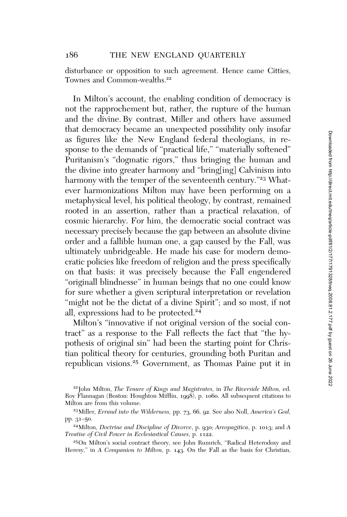disturbance or opposition to such agreement. Hence came Citties, Townes and Common-wealths.<sup>22</sup>

In Milton's account, the enabling condition of democracy is not the rapprochement but, rather, the rupture of the human and the divine. By contrast, Miller and others have assumed that democracy became an unexpected possibility only insofar as figures like the New England federal theologians, in response to the demands of "practical life," "materially softened" Puritanism's "dogmatic rigors," thus bringing the human and the divine into greater harmony and "bring[ing] Calvinism into harmony with the temper of the seventeenth century."<sup>23</sup> Whatever harmonizations Milton may have been performing on a metaphysical level, his political theology, by contrast, remained rooted in an assertion, rather than a practical relaxation, of cosmic hierarchy. For him, the democratic social contract was necessary precisely because the gap between an absolute divine order and a fallible human one, a gap caused by the Fall, was ultimately unbridgeable. He made his case for modern democratic policies like freedom of religion and the press specifically on that basis: it was precisely because the Fall engendered "originall blindnesse" in human beings that no one could know for sure whether a given scriptural interpretation or revelation "might not be the dictat of a divine Spirit"; and so most, if not all, expressions had to be protected.<sup>24</sup>

Milton's "innovative if not original version of the social contract" as a response to the Fall reflects the fact that "the hypothesis of original sin" had been the starting point for Christian political theory for centuries, grounding both Puritan and republican visions.<sup>25</sup> Government, as Thomas Paine put it in

<sup>22</sup>John Milton, *The Tenure of Kings and Magistrates,* in *The Riverside Milton,* ed. Roy Flannagan (Boston: Houghton Mifflin, 1998), p. 1060. All subsequent citations to Milton are from this volume.

<sup>23</sup>Miller, *Errand into the Wilderness,* pp. 73, 66, 92. See also Noll, *America's God,* pp. 31–50.

<sup>24</sup>Milton, *Doctrine and Discipline of Divorce*, p. 930; *Areopagitica*, p. 1013; and *A Treatise of Civil Power in Ecclesiastical Causes*, p. 1122.

<sup>25</sup>On Milton's social contract theory, see John Rumrich, "Radical Heterodoxy and Heresy," in *A Companion to Milton,* p. 143. On the Fall as the basis for Christian,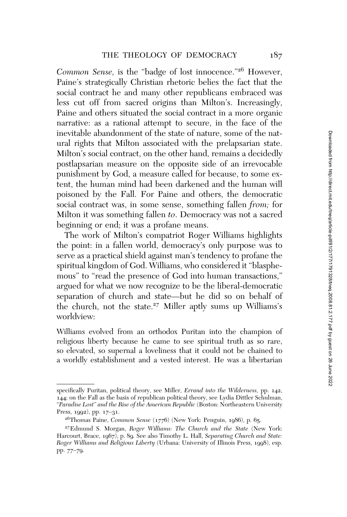*Common Sense,* is the "badge of lost innocence."<sup>26</sup> However, Paine's strategically Christian rhetoric belies the fact that the social contract he and many other republicans embraced was less cut off from sacred origins than Milton's. Increasingly, Paine and others situated the social contract in a more organic narrative: as a rational attempt to secure, in the face of the inevitable abandonment of the state of nature, some of the natural rights that Milton associated with the prelapsarian state. Milton's social contract, on the other hand, remains a decidedly postlapsarian measure on the opposite side of an irrevocable punishment by God, a measure called for because, to some extent, the human mind had been darkened and the human will poisoned by the Fall. For Paine and others, the democratic social contract was, in some sense, something fallen *from;* for Milton it was something fallen *to*. Democracy was not a sacred beginning or end; it was a profane means.

The work of Milton's compatriot Roger Williams highlights the point: in a fallen world, democracy's only purpose was to serve as a practical shield against man's tendency to profane the spiritual kingdom of God. Williams, who considered it "blasphemous" to "read the presence of God into human transactions," argued for what we now recognize to be the liberal-democratic separation of church and state—but he did so on behalf of the church, not the state.<sup>27</sup> Miller aptly sums up Williams's worldview:

Williams evolved from an orthodox Puritan into the champion of religious liberty because he came to see spiritual truth as so rare, so elevated, so supernal a loveliness that it could not be chained to a worldly establishment and a vested interest. He was a libertarian

specifically Puritan, political theory, see Miller, *Errand into the Wilderness,* pp. 142, 144; on the Fall as the basis of republican political theory, see Lydia Dittler Schulman, "*Paradise Lost*" *and the Rise of the American Republic* (Boston: Northeastern University Press, 1992), pp. 17–31.

<sup>26</sup>Thomas Paine, *Common Sense* (1776) (New York: Penguin, 1986), p. 65.

<sup>27</sup>Edmund S. Morgan, *Roger Williams: The Church and the State* (New York: Harcourt, Brace, 1967), p. 89. See also Timothy L. Hall, *Separating Church and State: Roger Williams and Religious Liberty* (Urbana: University of Illinois Press, 1998), esp. pp. 77–79.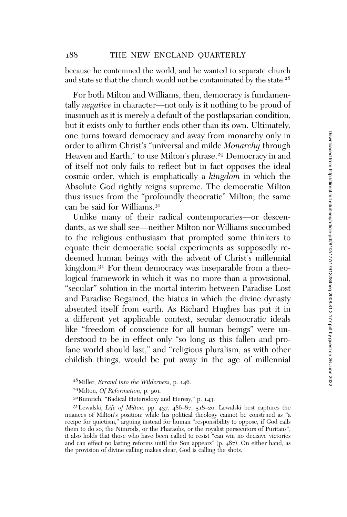because he contemned the world, and he wanted to separate church and state so that the church would not be contaminated by the state.<sup>28</sup>

For both Milton and Williams, then, democracy is fundamentally *negative* in character—not only is it nothing to be proud of inasmuch as it is merely a default of the postlapsarian condition, but it exists only to further ends other than its own. Ultimately, one turns toward democracy and away from monarchy only in order to affirm Christ's "universal and milde *Monarchy* through Heaven and Earth," to use Milton's phrase.<sup>29</sup> Democracy in and of itself not only fails to reflect but in fact opposes the ideal cosmic order, which is emphatically a *kingdom* in which the Absolute God rightly reigns supreme. The democratic Milton thus issues from the "profoundly theocratic" Milton; the same can be said for Williams.<sup>30</sup>

Unlike many of their radical contemporaries—or descendants, as we shall see—neither Milton nor Williams succumbed to the religious enthusiasm that prompted some thinkers to equate their democratic social experiments as supposedly redeemed human beings with the advent of Christ's millennial kingdom.<sup>31</sup> For them democracy was inseparable from a theological framework in which it was no more than a provisional, "secular" solution in the mortal interim between Paradise Lost and Paradise Regained, the hiatus in which the divine dynasty absented itself from earth. As Richard Hughes has put it in a different yet applicable context, secular democratic ideals like "freedom of conscience for all human beings" were understood to be in effect only "so long as this fallen and profane world should last," and "religious pluralism, as with other childish things, would be put away in the age of millennial

<sup>31</sup>Lewalski, *Life of Milton,* pp. 437, 486–87, 518–20. Lewalski best captures the nuances of Milton's position: while his political theology cannot be construed as "a recipe for quietism," arguing instead for human "responsibility to oppose, if God calls them to do so, the Nimrods, or the Pharaohs, or the royalist persecutors of Puritans"; it also holds that those who have been called to resist "can win no decisive victories and can effect no lasting reforms until the Son appears" (p. 487). On either hand, as the provision of divine calling makes clear, God is calling the shots.

<sup>28</sup>Miller, *Errand into the Wilderness*, p. 146.

<sup>29</sup>Milton, *Of Reformation,* p. 901.

<sup>30</sup>Rumrich, "Radical Heterodoxy and Heresy," p. 143.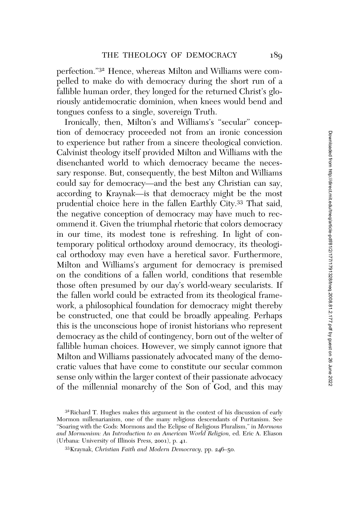perfection."<sup>32</sup> Hence, whereas Milton and Williams were compelled to make do with democracy during the short run of a fallible human order, they longed for the returned Christ's gloriously antidemocratic dominion, when knees would bend and tongues confess to a single, sovereign Truth.

Ironically, then, Milton's and Williams's "secular" conception of democracy proceeded not from an ironic concession to experience but rather from a sincere theological conviction. Calvinist theology itself provided Milton and Williams with the disenchanted world to which democracy became the necessary response. But, consequently, the best Milton and Williams could say for democracy—and the best any Christian can say, according to Kraynak—is that democracy might be the most prudential choice here in the fallen Earthly City.<sup>33</sup> That said, the negative conception of democracy may have much to recommend it. Given the triumphal rhetoric that colors democracy in our time, its modest tone is refreshing. In light of contemporary political orthodoxy around democracy, its theological orthodoxy may even have a heretical savor. Furthermore, Milton and Williams's argument for democracy is premised on the conditions of a fallen world, conditions that resemble those often presumed by our day's world-weary secularists. If the fallen world could be extracted from its theological framework, a philosophical foundation for democracy might thereby be constructed, one that could be broadly appealing. Perhaps this is the unconscious hope of ironist historians who represent democracy as the child of contingency, born out of the welter of fallible human choices. However, we simply cannot ignore that Milton and Williams passionately advocated many of the democratic values that have come to constitute our secular common sense only within the larger context of their passionate advocacy of the millennial monarchy of the Son of God, and this may

<sup>32</sup>Richard T. Hughes makes this argument in the context of his discussion of early Mormon millenarianism, one of the many religious descendants of Puritanism. See "Soaring with the Gods: Mormons and the Eclipse of Religious Pluralism," in *Mormons and Mormonism: An Introduction to an American World Religion,* ed. Eric A. Eliason (Urbana: University of Illinois Press, 2001), p. 41.

<sup>33</sup>Kraynak, *Christian Faith and Modern Democracy,* pp. 246–50.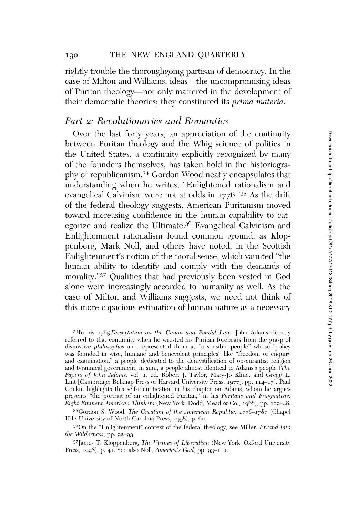rightly trouble the thoroughgoing partisan of democracy. In the case of Milton and Williams, ideas—the uncompromising ideas of Puritan theology—not only mattered in the development of their democratic theories; they constituted its *prima materia*.

### *Part 2: Revolutionaries and Romantics*

Over the last forty years, an appreciation of the continuity between Puritan theology and the Whig science of politics in the United States, a continuity explicitly recognized by many of the founders themselves, has taken hold in the historiography of republicanism.<sup>34</sup> Gordon Wood neatly encapsulates that understanding when he writes, "Enlightened rationalism and evangelical Calvinism were not at odds in 1776."<sup>35</sup> As the drift of the federal theology suggests, American Puritanism moved toward increasing confidence in the human capability to categorize and realize the Ultimate.<sup>36</sup> Evangelical Calvinism and Enlightenment rationalism found common ground, as Kloppenberg, Mark Noll, and others have noted, in the Scottish Enlightenment's notion of the moral sense, which vaunted "the human ability to identify and comply with the demands of morality."<sup>37</sup> Qualities that had previously been vested in God alone were increasingly accorded to humanity as well. As the case of Milton and Williams suggests, we need not think of this more capacious estimation of human nature as a necessary

<sup>35</sup>Gordon S. Wood, *The Creation of the American Republic, 1776–1787* (Chapel Hill: University of North Carolina Press, 1998), p. 60.

<sup>34</sup>In his 1765 *Dissertation on the Canon and Feudal Law,* John Adams directly referred to that continuity when he wrested his Puritan forebears from the grasp of dismissive *philosophes* and represented them as "a sensible people" whose "policy was founded in wise, humane and benevolent principles" like "freedom of enquiry and examination," a people dedicated to the demystification of obscurantist religion and tyrannical government, in sum, a people almost identical to Adams's people (*The Papers of John Adams,* vol. 1*,* ed. Robert J. Taylor, Mary-Jo Kline, and Gregg L. Lint [Cambridge: Belknap Press of Harvard University Press, 1977], pp. 114–17). Paul Conkin highlights this self-identification in his chapter on Adams, whom he argues presents "the portrait of an enlightened Puritan," in his *Puritans and Pragmatists: Eight Eminent American Thinkers* (New York: Dodd, Mead & Co., 1968), pp. 109–48.

<sup>36</sup>On the "Enlightenment" context of the federal theology, see Miller, *Errand into the Wilderness*, pp. 92–93.

<sup>37</sup>James T. Kloppenberg, *The Virtues of Liberalism* (New York: Oxford University Press, 1998), p. 41. See also Noll, *America's God,* pp. 93–113.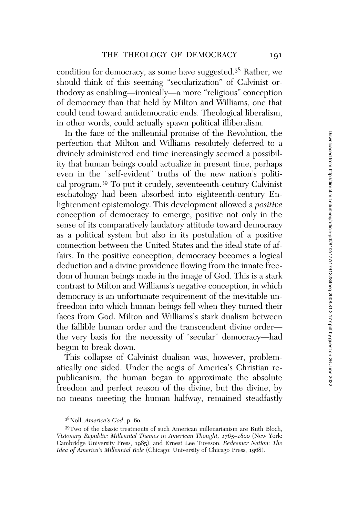condition for democracy, as some have suggested.<sup>38</sup> Rather, we should think of this seeming "secularization" of Calvinist orthodoxy as enabling—ironically—a more "religious" conception of democracy than that held by Milton and Williams, one that could tend toward antidemocratic ends. Theological liberalism, in other words, could actually spawn political illiberalism.

In the face of the millennial promise of the Revolution, the perfection that Milton and Williams resolutely deferred to a divinely administered end time increasingly seemed a possibility that human beings could actualize in present time, perhaps even in the "self-evident" truths of the new nation's political program.<sup>39</sup> To put it crudely, seventeenth-century Calvinist eschatology had been absorbed into eighteenth-century Enlightenment epistemology. This development allowed a *positive* conception of democracy to emerge, positive not only in the sense of its comparatively laudatory attitude toward democracy as a political system but also in its postulation of a positive connection between the United States and the ideal state of affairs. In the positive conception, democracy becomes a logical deduction and a divine providence flowing from the innate freedom of human beings made in the image of God. This is a stark contrast to Milton and Williams's negative conception, in which democracy is an unfortunate requirement of the inevitable unfreedom into which human beings fell when they turned their faces from God. Milton and Williams's stark dualism between the fallible human order and the transcendent divine order the very basis for the necessity of "secular" democracy—had begun to break down.

This collapse of Calvinist dualism was, however, problematically one sided. Under the aegis of America's Christian republicanism, the human began to approximate the absolute freedom and perfect reason of the divine, but the divine, by no means meeting the human halfway, remained steadfastly

<sup>38</sup>Noll, *America's God,* p. 60.

<sup>39</sup>Two of the classic treatments of such American millenarianism are Ruth Bloch, *Visionary Republic: Millennial Themes in American Thought, 1765–1800* (New York: Cambridge University Press, 1985), and Ernest Lee Tuveson, *Redeemer Nation: The Idea of America's Millennial Role* (Chicago: University of Chicago Press, 1968).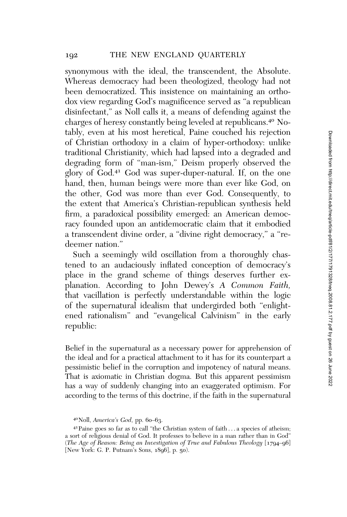synonymous with the ideal, the transcendent, the Absolute. Whereas democracy had been theologized, theology had not been democratized. This insistence on maintaining an orthodox view regarding God's magnificence served as "a republican disinfectant," as Noll calls it, a means of defending against the charges of heresy constantly being leveled at republicans.<sup>40</sup> Notably, even at his most heretical, Paine couched his rejection of Christian orthodoxy in a claim of hyper-orthodoxy: unlike traditional Christianity, which had lapsed into a degraded and degrading form of "man-ism," Deism properly observed the glory of God.<sup>41</sup> God was super-duper-natural. If, on the one hand, then, human beings were more than ever like God, on the other, God was more than ever God. Consequently, to the extent that America's Christian-republican synthesis held firm, a paradoxical possibility emerged: an American democracy founded upon an antidemocratic claim that it embodied a transcendent divine order, a "divine right democracy," a "redeemer nation."

Such a seemingly wild oscillation from a thoroughly chastened to an audaciously inflated conception of democracy's place in the grand scheme of things deserves further explanation. According to John Dewey's *A Common Faith,* that vacillation is perfectly understandable within the logic of the supernatural idealism that undergirded both "enlightened rationalism" and "evangelical Calvinism" in the early republic:

Belief in the supernatural as a necessary power for apprehension of the ideal and for a practical attachment to it has for its counterpart a pessimistic belief in the corruption and impotency of natural means. That is axiomatic in Christian dogma. But this apparent pessimism has a way of suddenly changing into an exaggerated optimism. For according to the terms of this doctrine, if the faith in the supernatural

<sup>40</sup>Noll, *America's God,* pp. 60–63.

<sup>41</sup>Paine goes so far as to call "the Christian system of faith ... a species of atheism; a sort of religious denial of God. It professes to believe in a man rather than in God" (*The Age of Reason: Being an Investigation of True and Fabulous Theology* [1794–96] [New York: G. P. Putnam's Sons, 1896], p. 50).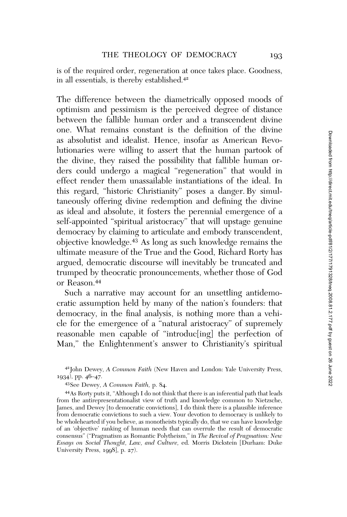is of the required order, regeneration at once takes place. Goodness, in all essentials, is thereby established.<sup>42</sup>

The difference between the diametrically opposed moods of optimism and pessimism is the perceived degree of distance between the fallible human order and a transcendent divine one. What remains constant is the definition of the divine as absolutist and idealist. Hence, insofar as American Revolutionaries were willing to assert that the human partook of the divine, they raised the possibility that fallible human orders could undergo a magical "regeneration" that would in effect render them unassailable instantiations of the ideal. In this regard, "historic Christianity" poses a danger. By simultaneously offering divine redemption and defining the divine as ideal and absolute, it fosters the perennial emergence of a self-appointed "spiritual aristocracy" that will upstage genuine democracy by claiming to articulate and embody transcendent, objective knowledge.<sup>43</sup> As long as such knowledge remains the ultimate measure of the True and the Good, Richard Rorty has argued, democratic discourse will inevitably be truncated and trumped by theocratic pronouncements, whether those of God or Reason.<sup>44</sup>

Such a narrative may account for an unsettling antidemocratic assumption held by many of the nation's founders: that democracy, in the final analysis, is nothing more than a vehicle for the emergence of a "natural aristocracy" of supremely reasonable men capable of "introduc[ing] the perfection of Man," the Enlightenment's answer to Christianity's spiritual

<sup>42</sup>John Dewey, *A Common Faith* (New Haven and London: Yale University Press, 1934), pp. 46–47.

<sup>43</sup>See Dewey, *A Common Faith,* p. 84.

<sup>44</sup>As Rorty puts it, "Although I do not think that there is an inferential path that leads from the antirepresentationalist view of truth and knowledge common to Nietzsche, James, and Dewey [to democratic convictions], I do think there is a plausible inference from democratic convictions to such a view. Your devotion to democracy is unlikely to be wholehearted if you believe, as monotheists typically do, that we can have knowledge of an 'objective' ranking of human needs that can overrule the result of democratic consensus" ("Pragmatism as Romantic Polytheism," in *The Revival of Pragmatism: New Essays on Social Thought, Law, and Culture,* ed. Morris Dickstein [Durham: Duke University Press, 1998], p. 27).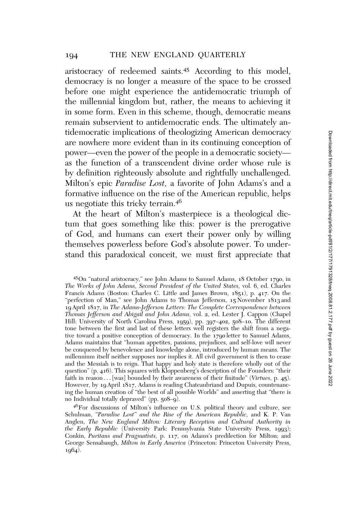aristocracy of redeemed saints.<sup>45</sup> According to this model, democracy is no longer a measure of the space to be crossed before one might experience the antidemocratic triumph of the millennial kingdom but, rather, the means to achieving it in some form. Even in this scheme, though, democratic means remain subservient to antidemocratic ends. The ultimately antidemocratic implications of theologizing American democracy are nowhere more evident than in its continuing conception of power—even the power of the people in a democratic society as the function of a transcendent divine order whose rule is by definition righteously absolute and rightfully unchallenged. Milton's epic *Paradise Lost,* a favorite of John Adams's and a formative influence on the rise of the American republic, helps us negotiate this tricky terrain.<sup>46</sup>

At the heart of Milton's masterpiece is a theological dictum that goes something like this: power is the prerogative of God, and humans can exert their power only by willing themselves powerless before God's absolute power. To understand this paradoxical conceit, we must first appreciate that

<sup>45</sup>On "natural aristocracy," see John Adams to Samuel Adams, 18 October 1790, in *The Works of John Adams, Second President of the United States,* vol. 6, ed. Charles Francis Adams (Boston: Charles C. Little and James Brown, 1851), p. 417. On the "perfection of Man," see John Adams to Thomas Jefferson, 15 November 1813 and 19 April 1817, in *The Adams-Jefferson Letters: The Complete Correspondence between Thomas Jefferson and Abigail and John Adams,* vol. 2, ed. Lester J. Cappon (Chapel Hill: University of North Carolina Press, 1959), pp. 397–402, 508–10. The different tone between the first and last of these letters well registers the shift from a negative toward a positive conception of democracy. In the 1790 letter to Samuel Adams, Adams maintains that "human appetites, passions, prejudices, and self-love will never be conquered by benevolence and knowledge alone, introduced by human means. The millennium itself neither supposes nor implies it. All civil government is then to cease and the Messiah is to reign. That happy and holy state is therefore wholly out of the question" (p. 416). This squares with Kloppenberg's description of the Founders: "their faith in reason ... [was] bounded by their awareness of their finitude" (*Virtues,* p. 45). However, by 19 April 1817, Adams is reading Chateaubriand and Dupuis, countenancing the human creation of "the best of all possible Worlds" and asserting that "there is no Individual totally depraved" (pp. 508–9).

<sup>46</sup>For discussions of Milton's influence on U.S. political theory and culture, see Schulman, *"Paradise Lost" and the Rise of the American Republic,* and K. P. Van Anglen, *The New England Milton: Literary Reception and Cultural Authority in the Early Republic* (University Park: Pennsylvania State University Press, 1993); Conkin, *Puritans and Pragmatists,* p. 117, on Adams's predilection for Milton; and George Sensabaugh, *Milton in Early America* (Princeton: Princeton University Press, 1964).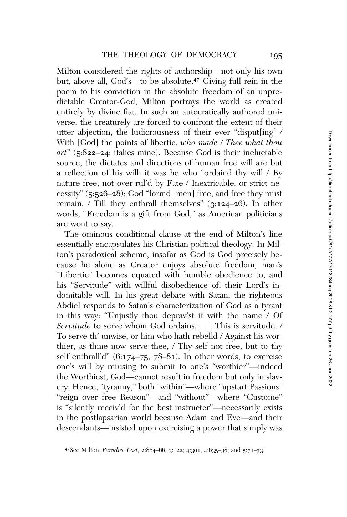Milton considered the rights of authorship—not only his own but, above all, God's—to be absolute.<sup>47</sup> Giving full rein in the poem to his conviction in the absolute freedom of an unpredictable Creator-God, Milton portrays the world as created entirely by divine fiat. In such an autocratically authored universe, the creaturely are forced to confront the extent of their utter abjection, the ludicrousness of their ever "disput[ing] / With [God] the points of libertie, *who made* / *Thee what thou art*" (5:822–24; italics mine). Because God is their ineluctable source, the dictates and directions of human free will are but a reflection of his will: it was he who "ordaind thy will / By nature free, not over-rul'd by Fate / Inextricable, or strict necessity" (5:526–28); God "formd [men] free, and free they must remain, / Till they enthrall themselves" (3:124–26). In other words, "Freedom is a gift from God," as American politicians are wont to say.

The ominous conditional clause at the end of Milton's line essentially encapsulates his Christian political theology. In Milton's paradoxical scheme, insofar as God is God precisely because he alone as Creator enjoys absolute freedom, man's "Libertie" becomes equated with humble obedience to, and his "Servitude" with willful disobedience of, their Lord's indomitable will. In his great debate with Satan, the righteous Abdiel responds to Satan's characterization of God as a tyrant in this way: "Unjustly thou deprav'st it with the name / Of *Servitude* to serve whom God ordains. . . . This is servitude, / To serve th' unwise, or him who hath rebelld / Against his worthier, as thine now serve thee, / Thy self not free, but to thy self enthrall'd"  $(6:174-75, 78-81)$ . In other words, to exercise one's will by refusing to submit to one's "worthier"—indeed the Worthiest, God—cannot result in freedom but only in slavery. Hence, "tyranny," both "within"—where "upstart Passions" "reign over free Reason"—and "without"—where "Custome" is "silently receiv'd for the best instructer"—necessarily exists in the postlapsarian world because Adam and Eve—and their descendants—insisted upon exercising a power that simply was

<sup>47</sup>See Milton, *Paradise Lost,* 2:864–66, 3:122; 4:301, 4:635–38; and 5:71–73.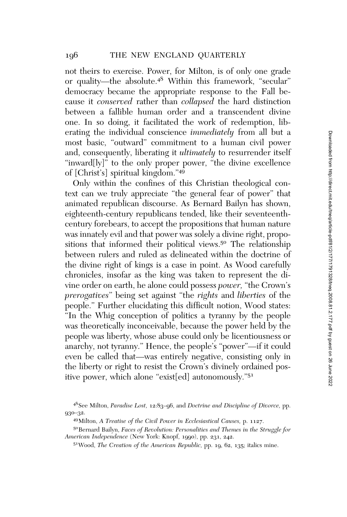not theirs to exercise. Power, for Milton, is of only one grade or quality—the absolute.<sup>48</sup> Within this framework, "secular" democracy became the appropriate response to the Fall because it *conserved* rather than *collapsed* the hard distinction between a fallible human order and a transcendent divine one. In so doing, it facilitated the work of redemption, liberating the individual conscience *immediately* from all but a most basic, "outward" commitment to a human civil power and, consequently, liberating it *ultimately* to resurrender itself "inward[ly]" to the only proper power, "the divine excellence of [Christ's] spiritual kingdom."<sup>49</sup>

Only within the confines of this Christian theological context can we truly appreciate "the general fear of power" that animated republican discourse. As Bernard Bailyn has shown, eighteenth-century republicans tended, like their seventeenthcentury forebears, to accept the propositions that human nature was innately evil and that power was solely a divine right, propositions that informed their political views.<sup>50</sup> The relationship between rulers and ruled as delineated within the doctrine of the divine right of kings is a case in point. As Wood carefully chronicles, insofar as the king was taken to represent the divine order on earth, he alone could possess *power,* "the Crown's *prerogatives*" being set against "the *rights* and *liberties* of the people." Further elucidating this difficult notion, Wood states: "In the Whig conception of politics a tyranny by the people was theoretically inconceivable, because the power held by the people was liberty, whose abuse could only be licentiousness or anarchy, not tyranny." Hence, the people's "power"—if it could even be called that—was entirely negative, consisting only in the liberty or right to resist the Crown's divinely ordained positive power, which alone "exist[ed] autonomously."<sup>51</sup>

<sup>48</sup>See Milton, *Paradise Lost,* 12:83–96, and *Doctrine and Discipline of Divorce,* pp. 930–32.

<sup>49</sup>Milton, *A Treatise of the Civil Power in Ecclesiastical Causes,* p. 1127.

<sup>50</sup>Bernard Bailyn, *Faces of Revolution: Personalities and Themes in the Struggle for American Independence* (New York: Knopf, 1990), pp. 231, 242.

<sup>51</sup>Wood, *The Creation of the American Republic,* pp. 19, 62, 135; italics mine.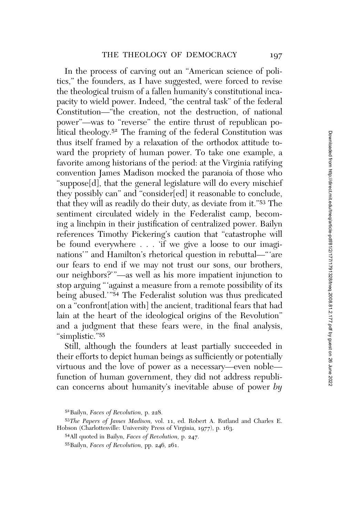In the process of carving out an "American science of politics," the founders, as I have suggested, were forced to revise the theological truism of a fallen humanity's constitutional incapacity to wield power. Indeed, "the central task" of the federal Constitution—"the creation, not the destruction, of national power"—was to "reverse" the entire thrust of republican political theology.<sup>52</sup> The framing of the federal Constitution was thus itself framed by a relaxation of the orthodox attitude toward the propriety of human power. To take one example, a favorite among historians of the period: at the Virginia ratifying convention James Madison mocked the paranoia of those who "suppose[d], that the general legislature will do every mischief they possibly can" and "consider[ed] it reasonable to conclude, that they will as readily do their duty, as deviate from it."<sup>53</sup> The sentiment circulated widely in the Federalist camp, becoming a linchpin in their justification of centralized power. Bailyn references Timothy Pickering's caution that "catastrophe will be found everywhere . . . 'if we give a loose to our imaginations'" and Hamilton's rhetorical question in rebuttal—"'are our fears to end if we may not trust our sons, our brothers, our neighbors?'"—as well as his more impatient injunction to stop arguing "'against a measure from a remote possibility of its being abused.'"<sup>54</sup> The Federalist solution was thus predicated on a "confront[ation with] the ancient, traditional fears that had lain at the heart of the ideological origins of the Revolution" and a judgment that these fears were, in the final analysis, "simplistic."<sup>55</sup>

Still, although the founders at least partially succeeded in their efforts to depict human beings as sufficiently or potentially virtuous and the love of power as a necessary—even noble function of human government, they did not address republican concerns about humanity's inevitable abuse of power *by*

<sup>52</sup>Bailyn, *Faces of Revolution,* p. 228.

<sup>53</sup>*The Papers of James Madison,* vol. 11, ed. Robert A. Rutland and Charles E. Hobson (Charlottesville: University Press of Virginia, 1977), p. 163.

<sup>54</sup>All quoted in Bailyn, *Faces of Revolution,* p. 247.

<sup>55</sup>Bailyn, *Faces of Revolution,* pp. 246, 261.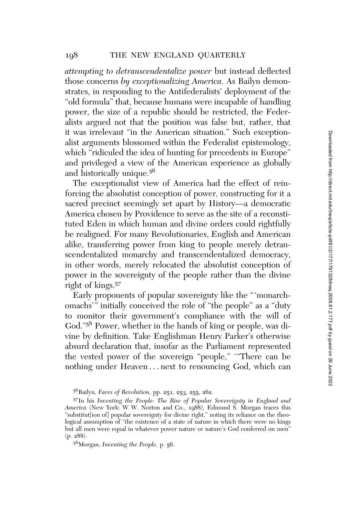*attempting to detranscendentalize power* but instead deflected those concerns *by exceptionalizing America*. As Bailyn demonstrates, in responding to the Antifederalists' deployment of the "old formula" that, because humans were incapable of handling power, the size of a republic should be restricted, the Federalists argued not that the position was false but, rather, that it was irrelevant "in the American situation." Such exceptionalist arguments blossomed within the Federalist epistemology, which "ridiculed the idea of hunting for precedents in Europe" and privileged a view of the American experience as globally and historically unique.<sup>56</sup>

The exceptionalist view of America had the effect of reinforcing the absolutist conception of power, constructing for it a sacred precinct seemingly set apart by History—a democratic America chosen by Providence to serve as the site of a reconstituted Eden in which human and divine orders could rightfully be realigned. For many Revolutionaries, English and American alike, transferring power from king to people merely detranscendentalized monarchy and transcendentalized democracy, in other words, merely relocated the absolutist conception of power in the sovereignty of the people rather than the divine right of kings.<sup>57</sup>

Early proponents of popular sovereignty like the "'monarchomachs'" initially conceived the role of "the people" as a "duty to monitor their government's compliance with the will of God."<sup>58</sup> Power, whether in the hands of king or people, was divine by definition. Take Englishman Henry Parker's otherwise absurd declaration that, insofar as the Parliament represented the vested power of the sovereign "people," '"There can be nothing under Heaven ... next to renouncing God, which can

<sup>56</sup>Bailyn, *Faces of Revolution,* pp. 251, 253, 255, 262.

<sup>57</sup>In his *Inventing the People: The Rise of Popular Sovereignty in England and America* (New York: W. W. Norton and Co., 1988), Edmund S. Morgan traces this "substitut[ion of] popular sovereignty for divine right," noting its reliance on the theological assumption of "the existence of a state of nature in which there were no kings but all men were equal in whatever power nature or nature's God conferred on men" (p. 288).

<sup>58</sup>Morgan, *Inventing the People,* p. 56.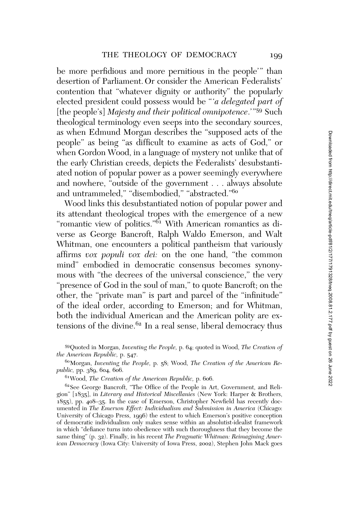be more perfidious and more pernitious in the people'" than desertion of Parliament. Or consider the American Federalists' contention that "whatever dignity or authority" the popularly elected president could possess would be "'*a delegated part of* [the people's] *Majesty and their political omnipotence*.'"<sup>59</sup> Such theological terminology even seeps into the secondary sources, as when Edmund Morgan describes the "supposed acts of the people" as being "as difficult to examine as acts of God," or when Gordon Wood, in a language of mystery not unlike that of the early Christian creeds, depicts the Federalists' desubstantiated notion of popular power as a power seemingly everywhere and nowhere, "outside of the government . . . always absolute and untrammeled," "disembodied," "abstracted."<sup>60</sup>

Wood links this desubstantiated notion of popular power and its attendant theological tropes with the emergence of a new "romantic view of politics."<sup>61</sup> With American romantics as diverse as George Bancroft, Ralph Waldo Emerson, and Walt Whitman, one encounters a political pantheism that variously affirms *vox populi vox dei:* on the one hand, "the common mind" embodied in democratic consensus becomes synonymous with "the decrees of the universal conscience," the very "presence of God in the soul of man," to quote Bancroft; on the other, the "private man" is part and parcel of the "infinitude" of the ideal order, according to Emerson; and for Whitman, both the individual American and the American polity are extensions of the divine.<sup>62</sup> In a real sense, liberal democracy thus

<sup>59</sup>Quoted in Morgan, *Inventing the People,* p. 64; quoted in Wood, *The Creation of the American Republic,* p. 547.

<sup>60</sup>Morgan, *Inventing the People,* p. 58; Wood, *The Creation of the American Republic,* pp. 389, 604, 606.

<sup>61</sup>Wood, *The Creation of the American Republic,* p. 606.

<sup>62</sup>See George Bancroft, "The Office of the People in Art, Government, and Religion" [1835], in *Literary and Historical Miscellanies* (New York: Harper & Brothers, 1855), pp. 408–35. In the case of Emerson, Christopher Newfield has recently documented in *The Emerson Effect: Individualism and Submission in America* (Chicago: University of Chicago Press, 1996) the extent to which Emerson's positive conception of democratic individualism only makes sense within an absolutist-idealist framework in which "defiance turns into obedience with such thoroughness that they become the same thing" (p. 32). Finally, in his recent *The Pragmatic Whitman: Reimagining American Democracy* (Iowa City: University of Iowa Press, 2002), Stephen John Mack goes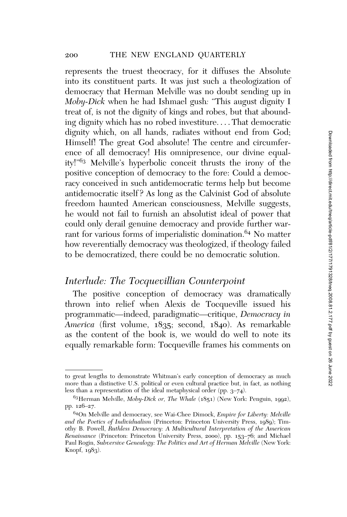represents the truest theocracy, for it diffuses the Absolute into its constituent parts. It was just such a theologization of democracy that Herman Melville was no doubt sending up in *Moby-Dick* when he had Ishmael gush*:* "This august dignity I treat of, is not the dignity of kings and robes, but that abounding dignity which has no robed investiture. ... That democratic dignity which, on all hands, radiates without end from God; Himself! The great God absolute! The centre and circumference of all democracy! His omnipresence, our divine equality!"<sup>63</sup> Melville's hyperbolic conceit thrusts the irony of the positive conception of democracy to the fore: Could a democracy conceived in such antidemocratic terms help but become antidemocratic itself ? As long as the Calvinist God of absolute freedom haunted American consciousness, Melville suggests, he would not fail to furnish an absolutist ideal of power that could only derail genuine democracy and provide further warrant for various forms of imperialistic domination.<sup>64</sup> No matter how reverentially democracy was theologized, if theology failed to be democratized, there could be no democratic solution.

## *Interlude: The Tocquevillian Counterpoint*

The positive conception of democracy was dramatically thrown into relief when Alexis de Tocqueville issued his programmatic—indeed, paradigmatic—critique, *Democracy in America* (first volume, 1835; second, 1840). As remarkable as the content of the book is, we would do well to note its equally remarkable form: Tocqueville frames his comments on

to great lengths to demonstrate Whitman's early conception of democracy as much more than a distinctive U.S. political or even cultural practice but, in fact, as nothing less than a representation of the ideal metaphysical order (pp. 3–74).

<sup>63</sup>Herman Melville, *Moby-Dick or, The Whale* (1851) (New York: Penguin, 1992), pp. 126–27.

<sup>64</sup>On Melville and democracy, see Wai-Chee Dimock, *Empire for Liberty: Melville and the Poetics of Individualism* (Princeton: Princeton University Press, 1989); Timothy B. Powell, *Ruthless Democracy: A Multicultural Interpretation of the American Renaissance* (Princeton: Princeton University Press, 2000), pp. 153–76; and Michael Paul Rogin, *Subversive Genealogy: The Politics and Art of Herman Melville* (New York: Knopf, 1983).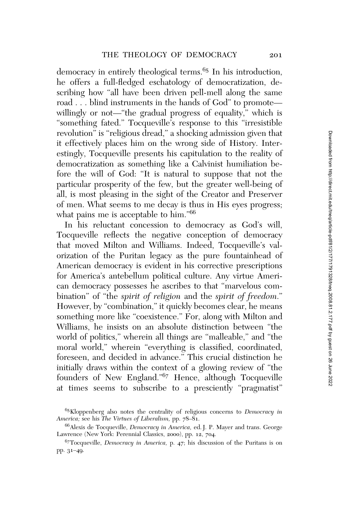democracy in entirely theological terms.<sup>65</sup> In his introduction, he offers a full-fledged eschatology of democratization, describing how "all have been driven pell-mell along the same road . . . blind instruments in the hands of God" to promote willingly or not—"the gradual progress of equality," which is "something fated." Tocqueville's response to this "irresistible revolution" is "religious dread," a shocking admission given that it effectively places him on the wrong side of History. Interestingly, Tocqueville presents his capitulation to the reality of democratization as something like a Calvinist humiliation before the will of God: "It is natural to suppose that not the particular prosperity of the few, but the greater well-being of all, is most pleasing in the sight of the Creator and Preserver of men. What seems to me decay is thus in His eyes progress; what pains me is acceptable to him."<sup>66</sup>

In his reluctant concession to democracy as God's will, Tocqueville reflects the negative conception of democracy that moved Milton and Williams. Indeed, Tocqueville's valorization of the Puritan legacy as the pure fountainhead of American democracy is evident in his corrective prescriptions for America's antebellum political culture. Any virtue American democracy possesses he ascribes to that "marvelous combination" of "the *spirit of religion* and the *spirit of freedom*." However, by "combination," it quickly becomes clear, he means something more like "coexistence." For, along with Milton and Williams, he insists on an absolute distinction between "the world of politics," wherein all things are "malleable," and "the moral world," wherein "everything is classified, coordinated, foreseen, and decided in advance." This crucial distinction he initially draws within the context of a glowing review of "the founders of New England."<sup>67</sup> Hence, although Tocqueville at times seems to subscribe to a presciently "pragmatist"

<sup>65</sup>Kloppenberg also notes the centrality of religious concerns to *Democracy in America;* see his *The Virtues of Liberalism,* pp. 78–81.

<sup>66</sup>Alexis de Tocqueville, *Democracy in America,* ed. J. P. Mayer and trans. George Lawrence (New York: Perennial Classics, 2000), pp. 12, 704.

<sup>67</sup>Tocqueville, *Democracy in America,* p. 47; his discussion of the Puritans is on pp. 31–49.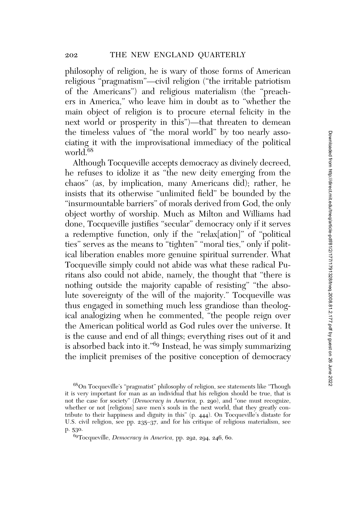philosophy of religion, he is wary of those forms of American religious "pragmatism"—civil religion ("the irritable patriotism of the Americans") and religious materialism (the "preachers in America," who leave him in doubt as to "whether the main object of religion is to procure eternal felicity in the next world or prosperity in this")—that threaten to demean the timeless values of "the moral world" by too nearly associating it with the improvisational immediacy of the political world.<sup>68</sup>

Although Tocqueville accepts democracy as divinely decreed, he refuses to idolize it as "the new deity emerging from the chaos" (as, by implication, many Americans did); rather, he insists that its otherwise "unlimited field" be bounded by the "insurmountable barriers" of morals derived from God, the only object worthy of worship. Much as Milton and Williams had done, Tocqueville justifies "secular" democracy only if it serves a redemptive function, only if the "relax[ation]" of "political ties" serves as the means to "tighten" "moral ties," only if political liberation enables more genuine spiritual surrender. What Tocqueville simply could not abide was what these radical Puritans also could not abide, namely, the thought that "there is nothing outside the majority capable of resisting" "the absolute sovereignty of the will of the majority." Tocqueville was thus engaged in something much less grandiose than theological analogizing when he commented, "the people reign over the American political world as God rules over the universe. It is the cause and end of all things; everything rises out of it and is absorbed back into it."<sup>69</sup> Instead, he was simply summarizing the implicit premises of the positive conception of democracy

<sup>68</sup>On Tocqueville's "pragmatist" philosophy of religion, see statements like "Though it is very important for man as an individual that his religion should be true, that is not the case for society" (*Democracy in America,* p. 290), and "one must recognize, whether or not [religions] save men's souls in the next world, that they greatly contribute to their happiness and dignity in this" (p. 444). On Tocqueville's distaste for U.S. civil religion, see pp. 235–37, and for his critique of religious materialism, see p. 530.

<sup>69</sup>Tocqueville, *Democracy in America,* pp. 292, 294, 246, 60.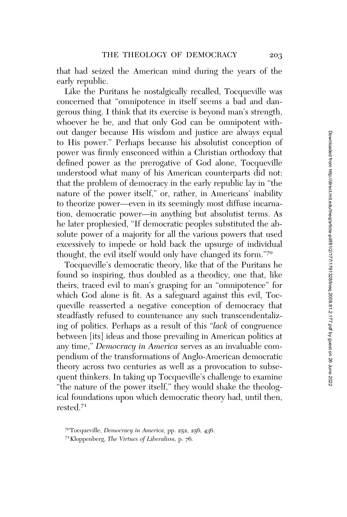that had seized the American mind during the years of the early republic.

Like the Puritans he nostalgically recalled, Tocqueville was concerned that "omnipotence in itself seems a bad and dangerous thing. I think that its exercise is beyond man's strength, whoever he be, and that only God can be omnipotent without danger because His wisdom and justice are always equal to His power." Perhaps because his absolutist conception of power was firmly ensconced within a Christian orthodoxy that defined power as the prerogative of God alone, Tocqueville understood what many of his American counterparts did not: that the problem of democracy in the early republic lay in "the nature of the power itself," or, rather, in Americans' inability to theorize power—even in its seemingly most diffuse incarnation, democratic power—in anything but absolutist terms. As he later prophesied, "If democratic peoples substituted the absolute power of a majority for all the various powers that used excessively to impede or hold back the upsurge of individual thought, the evil itself would only have changed its form."<sup>70</sup>

Tocqueville's democratic theory, like that of the Puritans he found so inspiring, thus doubled as a theodicy, one that, like theirs, traced evil to man's grasping for an "omnipotence" for which God alone is fit. As a safeguard against this evil, Tocqueville reasserted a negative conception of democracy that steadfastly refused to countenance any such transcendentalizing of politics. Perhaps as a result of this "*lack* of congruence between [its] ideas and those prevailing in American politics at any time," *Democracy in America* serves as an invaluable compendium of the transformations of Anglo-American democratic theory across two centuries as well as a provocation to subsequent thinkers. In taking up Tocqueville's challenge to examine "the nature of the power itself," they would shake the theological foundations upon which democratic theory had, until then, rested.<sup>71</sup>

<sup>70</sup>Tocqueville, *Democracy in America,* pp. 252, 256, 436.

<sup>71</sup>Kloppenberg, *The Virtues of Liberalism,* p. 76.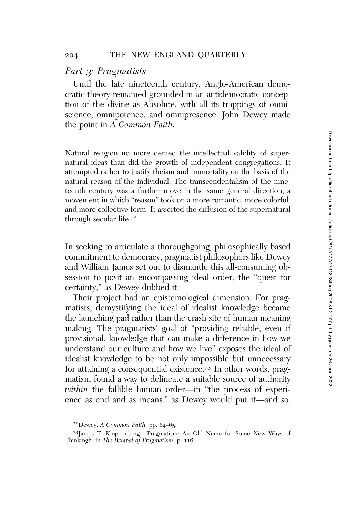### *Part 3: Pragmatists*

Until the late nineteenth century, Anglo-American democratic theory remained grounded in an antidemocratic conception of the divine as Absolute, with all its trappings of omniscience, omnipotence, and omnipresence. John Dewey made the point in *A Common Faith:*

Natural religion no more denied the intellectual validity of supernatural ideas than did the growth of independent congregations. It attempted rather to justify theism and immortality on the basis of the natural reason of the individual. The transcendentalism of the nineteenth century was a further move in the same general direction, a movement in which "reason" took on a more romantic, more colorful, and more collective form. It asserted the diffusion of the supernatural through secular life.<sup>72</sup>

In seeking to articulate a thoroughgoing, philosophically based commitment to democracy, pragmatist philosophers like Dewey and William James set out to dismantle this all-consuming obsession to posit an encompassing ideal order, the "quest for certainty," as Dewey dubbed it.

Their project had an epistemological dimension. For pragmatists, demystifying the ideal of idealist knowledge became the launching pad rather than the crash site of human meaning making. The pragmatists' goal of "providing reliable, even if provisional, knowledge that can make a difference in how we understand our culture and how we live" exposes the ideal of idealist knowledge to be not only impossible but unnecessary for attaining a consequential existence.<sup>73</sup> In other words, pragmatism found a way to delineate a suitable source of authority *within* the fallible human order—in "the process of experience as end and as means," as Dewey would put it—and so,

<sup>72</sup>Dewey, *A Common Faith,* pp. 64–65.

<sup>73</sup>James T. Kloppenberg, "Pragmatism: An Old Name for Some New Ways of Thinking?" in *The Revival of Pragmatism,* p. 116.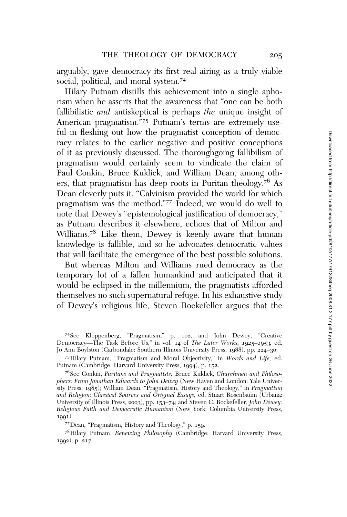arguably, gave democracy its first real airing as a truly viable social, political, and moral system.<sup>74</sup>

Hilary Putnam distills this achievement into a single aphorism when he asserts that the awareness that "one can be both fallibilistic *and* antiskeptical is perhaps *the* unique insight of American pragmatism."<sup>75</sup> Putnam's terms are extremely useful in fleshing out how the pragmatist conception of democracy relates to the earlier negative and positive conceptions of it as previously discussed. The thoroughgoing fallibilism of pragmatism would certainly seem to vindicate the claim of Paul Conkin, Bruce Kuklick, and William Dean, among others, that pragmatism has deep roots in Puritan theology.<sup>76</sup> As Dean cleverly puts it, "Calvinism provided the world for which pragmatism was the method."<sup>77</sup> Indeed, we would do well to note that Dewey's "epistemological justification of democracy*,*" as Putnam describes it elsewhere, echoes that of Milton and Williams.<sup>78</sup> Like them, Dewey is keenly aware that human knowledge is fallible, and so he advocates democratic values that will facilitate the emergence of the best possible solutions.

But whereas Milton and Williams rued democracy as the temporary lot of a fallen humankind and anticipated that it would be eclipsed in the millennium, the pragmatists afforded themselves no such supernatural refuge. In his exhaustive study of Dewey's religious life, Steven Rockefeller argues that the

<sup>74</sup>See Kloppenberg, "Pragmatism," p. 102, and John Dewey, "Creative Democracy—The Task Before Us," in vol. 14 of *The Later Works, 1925–1953,* ed. Jo Ann Boylston (Carbondale: Southern Illinois University Press, 1988), pp. 224–30.

<sup>75</sup>Hilary Putnam, "Pragmatism and Moral Objectivity," in *Words and Life,* ed. Putnam (Cambridge: Harvard University Press, 1994), p. 152.

<sup>76</sup>See Conkin, *Puritans and Pragmatists;* Bruce Kuklick, *Churchmen and Philosophers: From Jonathan Edwards to John Dewey* (New Haven and London: Yale University Press, 1985); William Dean, "Pragmatism, History and Theology," in *Pragmatism and Religion: Classical Sources and Original Essays,* ed. Stuart Rosenbaum (Urbana: University of Illinois Press, 2003), pp. 153–74; and Steven C. Rockefeller, *John Dewey: Religious Faith and Democratic Humanism* (New York: Columbia University Press, 1991).

<sup>77</sup>Dean, "Pragmatism, History and Theology," p. 159.

<sup>78</sup>Hilary Putnam, *Renewing Philosophy* (Cambridge: Harvard University Press, 1992), p. 217.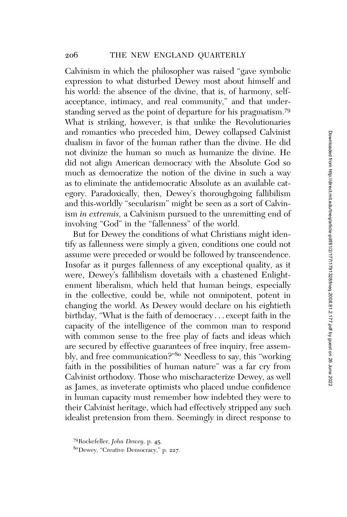Calvinism in which the philosopher was raised "gave symbolic expression to what disturbed Dewey most about himself and his world: the absence of the divine, that is, of harmony, selfacceptance, intimacy, and real community," and that understanding served as the point of departure for his pragmatism.<sup>79</sup> What is striking, however, is that unlike the Revolutionaries and romantics who preceded him, Dewey collapsed Calvinist dualism in favor of the human rather than the divine. He did not divinize the human so much as humanize the divine. He did not align American democracy with the Absolute God so much as democratize the notion of the divine in such a way as to eliminate the antidemocratic Absolute as an available category. Paradoxically, then, Dewey's thoroughgoing fallibilism and this-worldly "secularism" might be seen as a sort of Calvinism *in extremis,* a Calvinism pursued to the unremitting end of involving "God" in the "fallenness" of the world.

But for Dewey the conditions of what Christians might identify as fallenness were simply a given, conditions one could not assume were preceded or would be followed by transcendence. Insofar as it purges fallenness of any exceptional quality, as it were, Dewey's fallibilism dovetails with a chastened Enlightenment liberalism, which held that human beings, especially in the collective, could be, while not omnipotent, potent in changing the world. As Dewey would declare on his eightieth birthday, "What is the faith of democracy ... except faith in the capacity of the intelligence of the common man to respond with common sense to the free play of facts and ideas which are secured by effective guarantees of free inquiry, free assembly, and free communication?"<sup>80</sup> Needless to say, this "working faith in the possibilities of human nature" was a far cry from Calvinist orthodoxy. Those who mischaracterize Dewey, as well as James, as inveterate optimists who placed undue confidence in human capacity must remember how indebted they were to their Calvinist heritage, which had effectively stripped any such idealist pretension from them. Seemingly in direct response to

<sup>79</sup>Rockefeller, *John Dewey,* p. 45.

<sup>80</sup>Dewey, "Creative Democracy," p. 227.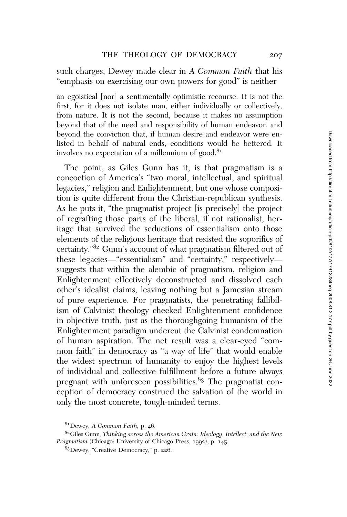such charges, Dewey made clear in *A Common Faith* that his "emphasis on exercising our own powers for good" is neither

an egoistical [nor] a sentimentally optimistic recourse. It is not the first, for it does not isolate man, either individually or collectively, from nature. It is not the second, because it makes no assumption beyond that of the need and responsibility of human endeavor, and beyond the conviction that, if human desire and endeavor were enlisted in behalf of natural ends, conditions would be bettered. It involves no expectation of a millennium of good. $81$ 

The point, as Giles Gunn has it, is that pragmatism is a concoction of America's "two moral, intellectual, and spiritual legacies," religion and Enlightenment, but one whose composition is quite different from the Christian-republican synthesis. As he puts it, "the pragmatist project [is precisely] the project of regrafting those parts of the liberal, if not rationalist, heritage that survived the seductions of essentialism onto those elements of the religious heritage that resisted the soporifics of certainty."<sup>82</sup> Gunn's account of what pragmatism filtered out of these legacies—"essentialism" and "certainty," respectively suggests that within the alembic of pragmatism, religion and Enlightenment effectively deconstructed and dissolved each other's idealist claims, leaving nothing but a Jamesian stream of pure experience. For pragmatists, the penetrating fallibilism of Calvinist theology checked Enlightenment confidence in objective truth, just as the thoroughgoing humanism of the Enlightenment paradigm undercut the Calvinist condemnation of human aspiration. The net result was a clear-eyed "common faith" in democracy as "a way of life" that would enable the widest spectrum of humanity to enjoy the highest levels of individual and collective fulfillment before a future always pregnant with unforeseen possibilities.<sup>83</sup> The pragmatist conception of democracy construed the salvation of the world in only the most concrete, tough-minded terms.

<sup>81</sup>Dewey, *A Common Faith,* p. 46.

<sup>82</sup>Giles Gunn, *Thinking across the American Grain: Ideology, Intellect, and the New Pragmatism* (Chicago: University of Chicago Press, 1992), p. 145.

<sup>83</sup>Dewey, "Creative Democracy," p. 226.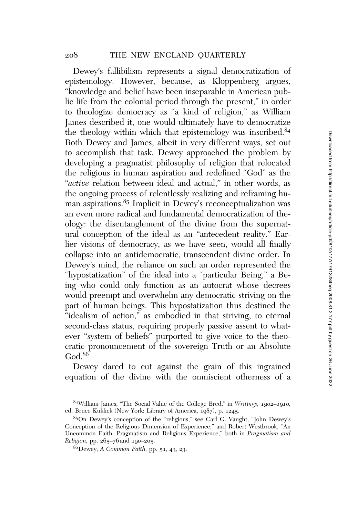Dewey's fallibilism represents a signal democratization of epistemology. However, because, as Kloppenberg argues, "knowledge and belief have been inseparable in American public life from the colonial period through the present," in order to theologize democracy as "a kind of religion," as William James described it, one would ultimately have to democratize the theology within which that epistemology was inscribed.<sup>84</sup> Both Dewey and James, albeit in very different ways, set out to accomplish that task. Dewey approached the problem by developing a pragmatist philosophy of religion that relocated the religious in human aspiration and redefined "God" as the "*active* relation between ideal and actual," in other words, as the ongoing process of relentlessly realizing and reframing human aspirations.<sup>85</sup> Implicit in Dewey's reconceptualization was an even more radical and fundamental democratization of theology: the disentanglement of the divine from the supernatural conception of the ideal as an "antecedent reality." Earlier visions of democracy, as we have seen, would all finally collapse into an antidemocratic, transcendent divine order. In Dewey's mind, the reliance on such an order represented the "hypostatization" of the ideal into a "particular Being," a Being who could only function as an autocrat whose decrees would preempt and overwhelm any democratic striving on the part of human beings. This hypostatization thus destined the "idealism of action," as embodied in that striving, to eternal second-class status, requiring properly passive assent to whatever "system of beliefs" purported to give voice to the theocratic pronouncement of the sovereign Truth or an Absolute  $\mathrm{God.}^{86}$ 

Dewey dared to cut against the grain of this ingrained equation of the divine with the omniscient otherness of a

<sup>84</sup>William James, "The Social Value of the College Bred," in *Writings, 1902–1910,* ed. Bruce Kuklick (New York: Library of America, 1987), p. 1245.

<sup>85</sup>On Dewey's conception of the "religious," see Carl G. Vaught, "John Dewey's Conception of the Religious Dimension of Experience," and Robert Westbrook, "An Uncommon Faith: Pragmatism and Religious Experience," both in *Pragmatism and Religion,* pp. 265–76 and 190–205.

<sup>86</sup>Dewey, *A Common Faith,* pp. 51, 43, 23.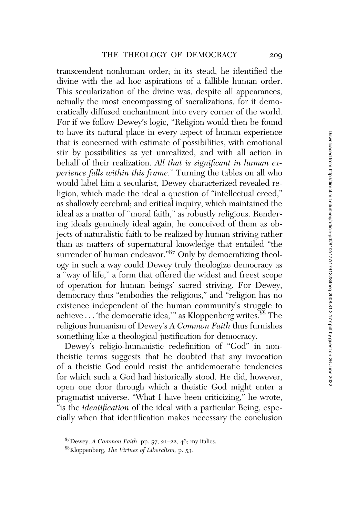transcendent nonhuman order; in its stead, he identified the divine with the ad hoc aspirations of a fallible human order. This secularization of the divine was, despite all appearances, actually the most encompassing of sacralizations, for it democratically diffused enchantment into every corner of the world. For if we follow Dewey's logic, "Religion would then be found to have its natural place in every aspect of human experience that is concerned with estimate of possibilities, with emotional stir by possibilities as yet unrealized, and with all action in behalf of their realization. *All that is significant in human experience falls within this frame.*" Turning the tables on all who would label him a secularist, Dewey characterized revealed religion, which made the ideal a question of "intellectual creed," as shallowly cerebral; and critical inquiry, which maintained the ideal as a matter of "moral faith," as robustly religious. Rendering ideals genuinely ideal again, he conceived of them as objects of naturalistic faith to be realized by human striving rather than as matters of supernatural knowledge that entailed "the surrender of human endeavor."<sup>87</sup> Only by democratizing theology in such a way could Dewey truly theologize democracy as a "way of life," a form that offered the widest and freest scope of operation for human beings' sacred striving. For Dewey, democracy thus "embodies the religious," and "religion has no existence independent of the human community's struggle to achieve . . . 'the democratic idea,'" as Kloppenberg writes.<sup>88</sup> The religious humanism of Dewey's *A Common Faith* thus furnishes something like a theological justification for democracy.

Dewey's religio-humanistic redefinition of "God" in nontheistic terms suggests that he doubted that any invocation of a theistic God could resist the antidemocratic tendencies for which such a God had historically stood. He did, however, open one door through which a theistic God might enter a pragmatist universe. "What I have been criticizing," he wrote, "is the *identification* of the ideal with a particular Being, especially when that identification makes necessary the conclusion

<sup>87</sup>Dewey, *A Common Faith,* pp. 57, 21–22, 46; my italics.

<sup>88</sup>Kloppenberg, *The Virtues of Liberalism,* p. 53.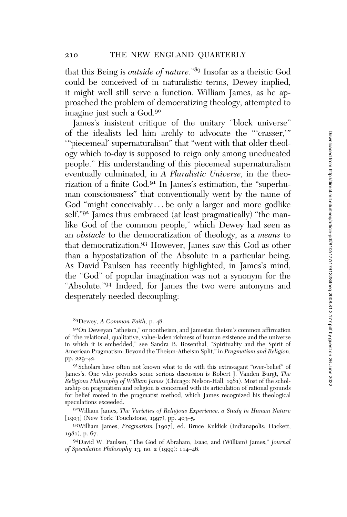that this Being is *outside of nature.*"<sup>89</sup> Insofar as a theistic God could be conceived of in naturalistic terms, Dewey implied, it might well still serve a function. William James, as he approached the problem of democratizing theology, attempted to imagine just such a God.<sup>90</sup>

James's insistent critique of the unitary "block universe" of the idealists led him archly to advocate the "'crasser,'" '"piecemeal' supernaturalism" that "went with that older theology which to-day is supposed to reign only among uneducated people." His understanding of this piecemeal supernaturalism eventually culminated, in *A Pluralistic Universe,* in the theorization of a finite God.<sup>91</sup> In James's estimation, the "superhuman consciousness" that conventionally went by the name of God "might conceivably ... be only a larger and more godlike self."92 James thus embraced (at least pragmatically) "the manlike God of the common people," which Dewey had seen as an *obstacle* to the democratization of theology, as a *means* to that democratization.<sup>93</sup> However, James saw this God as other than a hypostatization of the Absolute in a particular being. As David Paulsen has recently highlighted, in James's mind, the "God" of popular imagination was not a synonym for the "Absolute."<sup>94</sup> Indeed, for James the two were antonyms and desperately needed decoupling:

#### <sup>89</sup>Dewey, *A Common Faith,* p. 48.

<sup>90</sup>On Deweyan "atheism," or nontheism, and Jamesian theism's common affirmation of "the relational, qualitative, value-laden richness of human existence and the universe in which it is embedded," see Sandra B. Rosenthal, "Spirituality and the Spirit of American Pragmatism: Beyond the Theism-Atheism Split," in *Pragmatism and Religion,* pp. 229–42.

<sup>91</sup>Scholars have often not known what to do with this extravagant "over-belief" of James's. One who provides some serious discussion is Robert J. Vanden Burgt, *The Religious Philosophy of William James* (Chicago: Nelson-Hall, 1981). Most of the scholarship on pragmatism and religion is concerned with its articulation of rational grounds for belief rooted in the pragmatist method, which James recognized his theological speculations exceeded.

<sup>92</sup>William James, *The Varieties of Religious Experience, a Study in Human Nature* [1903] (New York: Touchstone, 1997), pp. 403–5.

<sup>93</sup>William James, *Pragmatism* [1907], ed. Bruce Kuklick (Indianapolis: Hackett, 1981), p. 67.

<sup>94</sup>David W. Paulsen, "The God of Abraham, Isaac, and (William) James," *Journal of Speculative Philosophy* 13, no. 2 (1999): 114–46.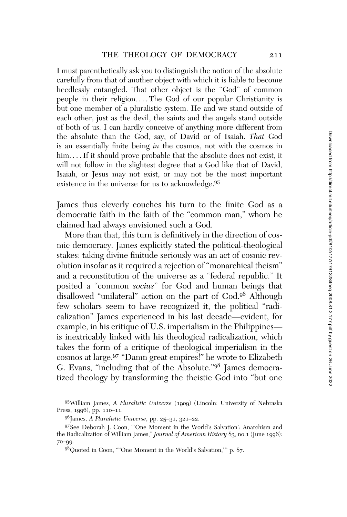I must parenthetically ask you to distinguish the notion of the absolute carefully from that of another object with which it is liable to become heedlessly entangled. That other object is the "God" of common people in their religion. ... The God of our popular Christianity is but one member of a pluralistic system. He and we stand outside of each other, just as the devil, the saints and the angels stand outside of both of us. I can hardly conceive of anything more different from the absolute than the God, say, of David or of Isaiah. *That* God is an essentially finite being *in* the cosmos, not with the cosmos in him. ...If it should prove probable that the absolute does not exist, it will not follow in the slightest degree that a God like that of David, Isaiah, or Jesus may not exist, or may not be the most important existence in the universe for us to acknowledge.<sup>95</sup>

James thus cleverly couches his turn to the finite God as a democratic faith in the faith of the "common man," whom he claimed had always envisioned such a God.

More than that, this turn is definitively in the direction of cosmic democracy. James explicitly stated the political-theological stakes: taking divine finitude seriously was an act of cosmic revolution insofar as it required a rejection of "monarchical theism" and a reconstitution of the universe as a "federal republic." It posited a "common *socius*" for God and human beings that disallowed "unilateral" action on the part of God.<sup>96</sup> Although few scholars seem to have recognized it, the political "radicalization" James experienced in his last decade—evident, for example, in his critique of U.S. imperialism in the Philippines is inextricably linked with his theological radicalization, which takes the form of a critique of theological imperialism in the cosmos at large.<sup>97</sup> "Damn great empires!" he wrote to Elizabeth G. Evans, "including that of the Absolute."<sup>98</sup> James democratized theology by transforming the theistic God into "but one

<sup>95</sup>William James, *A Pluralistic Universe* (1909) (Lincoln: University of Nebraska Press, 1996), pp. 110–11.

<sup>&</sup>lt;sup>96</sup>James, *A Pluralistic Universe*, pp. 25-31, 321-22.

<sup>97</sup>See Deborah J. Coon, "'One Moment in the World's Salvation': Anarchism and the Radicalization of William James," *Journal of American History* 83, no.1 (June 1996): 70–99.

<sup>98</sup>Quoted in Coon, "'One Moment in the World's Salvation,'" p. 87.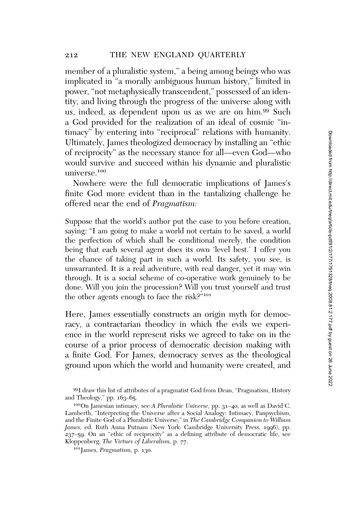member of a pluralistic system," a being among beings who was implicated in "a morally ambiguous human history," limited in power, "not metaphysically transcendent," possessed of an identity, and living through the progress of the universe along with us, indeed, as dependent upon us as we are on him.<sup>99</sup> Such a God provided for the realization of an ideal of cosmic "intimacy" by entering into "reciprocal" relations with humanity. Ultimately, James theologized democracy by installing an "ethic of reciprocity" as the necessary stance for all—even God—who would survive and succeed within his dynamic and pluralistic universe.<sup>100</sup>

Nowhere were the full democratic implications of James's finite God more evident than in the tantalizing challenge he offered near the end of *Pragmatism:*

Suppose that the world's author put the case to you before creation, saying: "I am going to make a world not certain to be saved, a world the perfection of which shall be conditional merely, the condition being that each several agent does its own 'level best.' I offer you the chance of taking part in such a world. Its safety, you see, is unwarranted. It is a real adventure, with real danger, yet it may win through. It is a social scheme of co-operative work genuinely to be done. Will you join the procession? Will you trust yourself and trust the other agents enough to face the risk?"<sup>101</sup>

Here, James essentially constructs an origin myth for democracy, a contractarian theodicy in which the evils we experience in the world represent risks we agreed to take on in the course of a prior process of democratic decision making with a finite God. For James, democracy serves as the theological ground upon which the world and humanity were created, and

<sup>99</sup>I draw this list of attributes of a pragmatist God from Dean, "Pragmatism, History and Theology," pp. 163–65.

<sup>100</sup>On Jamesian intimacy, see *A Pluralistic Universe,* pp. 31–40, as well as David C. Lamberth, "Interpreting the Universe after a Social Analogy: Intimacy, Panpsychism, and the Finite God of a Pluralistic Universe," in *The Cambridge Companion to William James,* ed. Ruth Anna Putnam (New York: Cambridge University Press, 1996), pp. 237–59. On an "ethic of reciprocity" as a defining attribute of democratic life, see Kloppenberg, *The Virtues of Liberalism,* p. 77.

<sup>101</sup>James, *Pragmatism,* p. 130.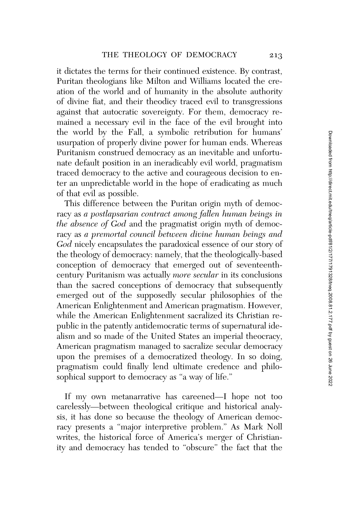it dictates the terms for their continued existence. By contrast, Puritan theologians like Milton and Williams located the creation of the world and of humanity in the absolute authority of divine fiat, and their theodicy traced evil to transgressions against that autocratic sovereignty. For them, democracy remained a necessary evil in the face of the evil brought into the world by the Fall, a symbolic retribution for humans' usurpation of properly divine power for human ends. Whereas Puritanism construed democracy as an inevitable and unfortunate default position in an ineradicably evil world, pragmatism traced democracy to the active and courageous decision to enter an unpredictable world in the hope of eradicating as much of that evil as possible.

This difference between the Puritan origin myth of democracy as *a postlapsarian contract among fallen human beings in the absence of God* and the pragmatist origin myth of democracy as *a premortal council between divine human beings and God* nicely encapsulates the paradoxical essence of our story of the theology of democracy: namely, that the theologically-based conception of democracy that emerged out of seventeenthcentury Puritanism was actually *more secular* in its conclusions than the sacred conceptions of democracy that subsequently emerged out of the supposedly secular philosophies of the American Enlightenment and American pragmatism. However, while the American Enlightenment sacralized its Christian republic in the patently antidemocratic terms of supernatural idealism and so made of the United States an imperial theocracy, American pragmatism managed to sacralize secular democracy upon the premises of a democratized theology. In so doing, pragmatism could finally lend ultimate credence and philosophical support to democracy as "a way of life."

If my own metanarrative has careened—I hope not too carelessly—between theological critique and historical analysis, it has done so because the theology of American democracy presents a "major interpretive problem." As Mark Noll writes, the historical force of America's merger of Christianity and democracy has tended to "obscure" the fact that the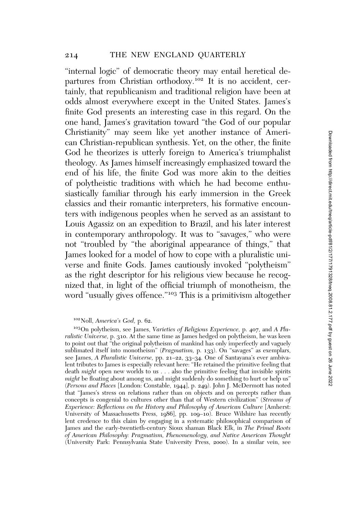"internal logic" of democratic theory may entail heretical departures from Christian orthodoxy.<sup>102</sup> It is no accident, certainly, that republicanism and traditional religion have been at odds almost everywhere except in the United States. James's finite God presents an interesting case in this regard. On the one hand, James's gravitation toward "the God of our popular Christianity" may seem like yet another instance of American Christian-republican synthesis. Yet, on the other, the finite God he theorizes is utterly foreign to America's triumphalist theology. As James himself increasingly emphasized toward the end of his life, the finite God was more akin to the deities of polytheistic traditions with which he had become enthusiastically familiar through his early immersion in the Greek classics and their romantic interpreters, his formative encounters with indigenous peoples when he served as an assistant to Louis Agassiz on an expedition to Brazil, and his later interest in contemporary anthropology. It was to "savages," who were not "troubled by "the aboriginal appearance of things," that James looked for a model of how to cope with a pluralistic universe and finite Gods. James cautiously invoked "polytheism" as the right descriptor for his religious view because he recognized that, in light of the official triumph of monotheism, the word "usually gives offence."<sup>103</sup> This is a primitivism altogether

<sup>103</sup>On polytheism, see James, *Varieties of Religious Experience,* p. 407, and *A Pluralistic Universe,* p. 310. At the same time as James hedged on polytheism, he was keen to point out that "the original polytheism of mankind has only imperfectly and vaguely sublimated itself into monotheism" (*Pragmatism,* p. 133). On "savages" as exemplars, see James, *A Pluralistic Universe,* pp. 21–22, 33–34. One of Santayana's ever ambivalent tributes to James is especially relevant here: "He retained the primitive feeling that death *might* open new worlds to us . . . also the primitive feeling that invisible spirits *might* be floating about among us, and might suddenly do something to hurt or help us" (*Persons and Places* [London: Constable, 1944], p. 249). John J. McDermott has noted that "James's stress on relations rather than on objects and on percepts rather than concepts is congenial to cultures other than that of Western civilization" (*Streams of Experience: Reflections on the History and Philosophy of American Culture* [Amherst: University of Massachusetts Press, 1986], pp. 109–10). Bruce Wilshire has recently lent credence to this claim by engaging in a systematic philosophical comparison of James and the early-twentieth-century Sioux shaman Black Elk, in *The Primal Roots of American Philosophy: Pragmatism, Phenomenology, and Native American Thought* (University Park: Pennsylvania State University Press, 2000). In a similar vein, see

<sup>102</sup>Noll, *America's God,* p. 62.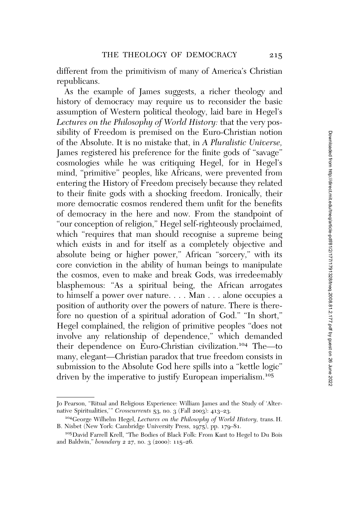different from the primitivism of many of America's Christian republicans.

As the example of James suggests, a richer theology and history of democracy may require us to reconsider the basic assumption of Western political theology, laid bare in Hegel's *Lectures on the Philosophy of World History:* that the very possibility of Freedom is premised on the Euro-Christian notion of the Absolute. It is no mistake that, in *A Pluralistic Universe,* James registered his preference for the finite gods of "savage" cosmologies while he was critiquing Hegel, for in Hegel's mind, "primitive" peoples, like Africans, were prevented from entering the History of Freedom precisely because they related to their finite gods with a shocking freedom. Ironically, their more democratic cosmos rendered them unfit for the benefits of democracy in the here and now. From the standpoint of "our conception of religion," Hegel self-righteously proclaimed, which "requires that man should recognise a supreme being which exists in and for itself as a completely objective and absolute being or higher power," African "sorcery," with its core conviction in the ability of human beings to manipulate the cosmos, even to make and break Gods, was irredeemably blasphemous: "As a spiritual being, the African arrogates to himself a power over nature. . . . Man . . . alone occupies a position of authority over the powers of nature. There is therefore no question of a spiritual adoration of God." "In short," Hegel complained, the religion of primitive peoples "does not involve any relationship of dependence," which demanded their dependence on Euro-Christian civilization.<sup>104</sup> The—to many, elegant—Christian paradox that true freedom consists in submission to the Absolute God here spills into a "kettle logic" driven by the imperative to justify European imperialism.<sup>105</sup>

Jo Pearson, "Ritual and Religious Experience: William James and the Study of 'Alternative Spiritualities," *Crosscurrents* 53, no. 3 (Fall 2003): 413-23.

<sup>104</sup>George Wilhelm Hegel, *Lectures on the Philosophy of World History,* trans. H. B. Nisbet (New York: Cambridge University Press, 1975), pp. 179–81.

<sup>105</sup>David Farrell Krell, "The Bodies of Black Folk: From Kant to Hegel to Du Bois and Baldwin," *boundary 2* 27, no. 3 (2000): 115–26.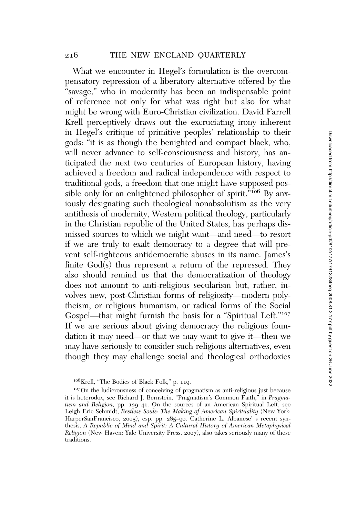What we encounter in Hegel's formulation is the overcompensatory repression of a liberatory alternative offered by the "savage," who in modernity has been an indispensable point of reference not only for what was right but also for what might be wrong with Euro-Christian civilization. David Farrell Krell perceptively draws out the excruciating irony inherent in Hegel's critique of primitive peoples' relationship to their gods: "it is as though the benighted and compact black, who, will never advance to self-consciousness and history, has anticipated the next two centuries of European history, having achieved a freedom and radical independence with respect to traditional gods, a freedom that one might have supposed possible only for an enlightened philosopher of spirit."<sup>106</sup> By anxiously designating such theological nonabsolutism as the very antithesis of modernity, Western political theology, particularly in the Christian republic of the United States, has perhaps dismissed sources to which we might want—and need—to resort if we are truly to exalt democracy to a degree that will prevent self-righteous antidemocratic abuses in its name. James's finite God(s) thus represent a return of the repressed. They also should remind us that the democratization of theology does not amount to anti-religious secularism but, rather, involves new, post-Christian forms of religiosity—modern polytheism, or religious humanism, or radical forms of the Social Gospel—that might furnish the basis for a "Spiritual Left."<sup>107</sup> If we are serious about giving democracy the religious foundation it may need—or that we may want to give it—then we may have seriously to consider such religious alternatives, even though they may challenge social and theological orthodoxies

<sup>106</sup>Krell, "The Bodies of Black Folk," p. 119.

<sup>107</sup>On the ludicrousness of conceiving of pragmatism as anti-religious just because it is heterodox, see Richard J. Bernstein, "Pragmatism's Common Faith," in *Pragmatism and Religion,* pp. 129–41. On the sources of an American Spiritual Left, see Leigh Eric Schmidt, *Restless Souls: The Making of American Spirituality* (New York: HarperSanFrancisco, 2005), esp. pp. 285–90. Catherine L. Albanese' s recent synthesis, *A Republic of Mind and Spirit: A Cultural History of American Metaphysical Religion* (New Haven: Yale University Press, 2007), also takes seriously many of these traditions.